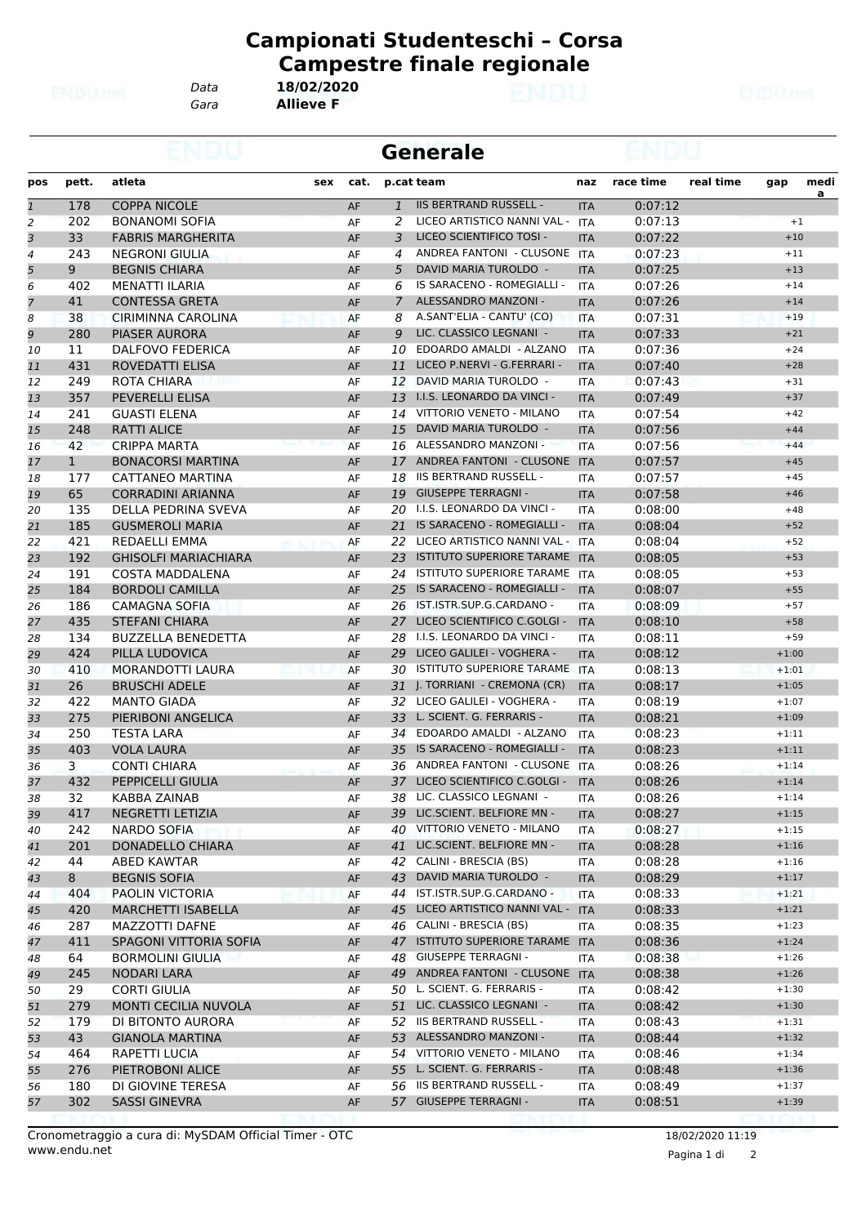*Gara* **Allieve F**

|              |              |                             | <b>Generale</b> |      |               |                                  |            |           |           |         |           |
|--------------|--------------|-----------------------------|-----------------|------|---------------|----------------------------------|------------|-----------|-----------|---------|-----------|
| pos          | pett.        | atleta                      | sex             | cat. |               | p.cat team                       | naz        | race time | real time | gap     | medi      |
| $\mathbf{1}$ | 178          | <b>COPPA NICOLE</b>         |                 | AF   |               | 1 IIS BERTRAND RUSSELL -         | <b>ITA</b> | 0:07:12   |           |         | <u>a </u> |
| 2            | 202          | <b>BONANOMI SOFIA</b>       |                 | AF   | 2             | LICEO ARTISTICO NANNI VAL -      | <b>ITA</b> | 0:07:13   |           | $+1$    |           |
| 3            | 33           | <b>FABRIS MARGHERITA</b>    |                 | AF   | 3             | LICEO SCIENTIFICO TOSI -         | <b>ITA</b> | 0:07:22   |           | $+10$   |           |
| 4            | 243          | NEGRONI GIULIA              |                 | AF   | 4             | ANDREA FANTONI - CLUSONE         | ITA        | 0:07:23   |           | $+11$   |           |
| 5            | 9            | <b>BEGNIS CHIARA</b>        |                 | AF   | 5             | DAVID MARIA TUROLDO -            | <b>ITA</b> | 0:07:25   |           | $+13$   |           |
| 6            | 402          | MENATTI ILARIA              |                 | AF   | 6             | IS SARACENO - ROMEGIALLI -       | <b>ITA</b> | 0:07:26   |           | $+14$   |           |
| 7            | 41           | <b>CONTESSA GRETA</b>       |                 | AF   | $\mathcal{I}$ | ALESSANDRO MANZONI -             | <b>ITA</b> | 0:07:26   |           | $+14$   |           |
| 8            | 38           | CIRIMINNA CAROLINA          |                 | AF   | 8             | A.SANT'ELIA - CANTU' (CO)        | <b>ITA</b> | 0:07:31   |           | $+19$   |           |
| 9            | 280          | PIASER AURORA               |                 | AF   | 9             | LIC. CLASSICO LEGNANI -          | <b>ITA</b> | 0:07:33   |           | $+21$   |           |
| 10           | 11           | DALFOVO FEDERICA            |                 | AF   | 10            | EDOARDO AMALDI - ALZANO          | <b>ITA</b> | 0:07:36   |           | $+24$   |           |
| 11           | 431          | ROVEDATTI ELISA             |                 | AF   | 11            | LICEO P.NERVI - G.FERRARI -      | <b>ITA</b> | 0:07:40   |           | $+28$   |           |
| 12           | 249          | ROTA CHIARA                 |                 | AF   | 12            | DAVID MARIA TUROLDO -            | <b>ITA</b> | 0:07:43   |           | $+31$   |           |
| 13           | 357          | PEVERELLI ELISA             |                 | AF   |               | 13 I.I.S. LEONARDO DA VINCI -    | <b>ITA</b> | 0:07:49   |           | $+37$   |           |
| 14           | 241          | <b>GUASTI ELENA</b>         |                 | AF   | 14            | VITTORIO VENETO - MILANO         | <b>ITA</b> | 0:07:54   |           | $+42$   |           |
| 15           | 248          | <b>RATTI ALICE</b>          |                 | AF   | 15            | DAVID MARIA TUROLDO -            | <b>ITA</b> | 0:07:56   |           | $+44$   |           |
| 16           | 42           | CRIPPA MARTA                |                 | AF   |               | 16 ALESSANDRO MANZONI -          | <b>ITA</b> | 0:07:56   |           | $+44$   |           |
| 17           | $\mathbf{1}$ | <b>BONACORSI MARTINA</b>    |                 | AF   |               | 17 ANDREA FANTONI - CLUSONE      | <b>ITA</b> | 0:07:57   |           | $+45$   |           |
| 18           | 177          | CATTANEO MARTINA            |                 | AF   | 18            | IIS BERTRAND RUSSELL -           | <b>ITA</b> | 0:07:57   |           | $+45$   |           |
|              | 65           | <b>CORRADINI ARIANNA</b>    |                 |      | 19            | <b>GIUSEPPE TERRAGNI -</b>       |            |           |           | $+46$   |           |
| 19           |              |                             |                 | AF   |               |                                  | <b>ITA</b> | 0:07:58   |           |         |           |
| 20           | 135          | DELLA PEDRINA SVEVA         |                 | AF   | 20            | I.I.S. LEONARDO DA VINCI -       | <b>ITA</b> | 0:08:00   |           | $+48$   |           |
| 21           | 185          | <b>GUSMEROLI MARIA</b>      |                 | AF   | 21            | IS SARACENO - ROMEGIALLI -       | <b>ITA</b> | 0:08:04   |           | $+52$   |           |
| 22           | 421          | REDAELLI EMMA               |                 | AF   |               | 22 LICEO ARTISTICO NANNI VAL -   | <b>ITA</b> | 0:08:04   |           | $+52$   |           |
| 23           | 192          | <b>GHISOLFI MARIACHIARA</b> |                 | AF   | 23            | ISTITUTO SUPERIORE TARAME ITA    |            | 0:08:05   |           | $+53$   |           |
| 24           | 191          | <b>COSTA MADDALENA</b>      |                 | AF   |               | 24 ISTITUTO SUPERIORE TARAME ITA |            | 0:08:05   |           | $+53$   |           |
| 25           | 184          | <b>BORDOLI CAMILLA</b>      |                 | AF   | 25            | IS SARACENO - ROMEGIALLI -       | <b>ITA</b> | 0:08:07   |           | $+55$   |           |
| 26           | 186          | <b>CAMAGNA SOFIA</b>        |                 | AF   | 26            | IST.ISTR.SUP.G.CARDANO -         | <b>ITA</b> | 0:08:09   |           | $+57$   |           |
| 27           | 435          | <b>STEFANI CHIARA</b>       |                 | AF   |               | 27 LICEO SCIENTIFICO C.GOLGI -   | <b>ITA</b> | 0:08:10   |           | $+58$   |           |
| 28           | 134          | <b>BUZZELLA BENEDETTA</b>   |                 | AF   |               | 28 I.I.S. LEONARDO DA VINCI -    | <b>ITA</b> | 0:08:11   |           | $+59$   |           |
| 29           | 424          | PILLA LUDOVICA              |                 | AF   | 29            | LICEO GALILEI - VOGHERA -        | <b>ITA</b> | 0:08:12   |           | $+1:00$ |           |
| 30           | 410          | MORANDOTTI LAURA            |                 | AF   |               | 30 ISTITUTO SUPERIORE TARAME ITA |            | 0:08:13   |           | $+1:01$ |           |
| 31           | 26           | <b>BRUSCHI ADELE</b>        |                 | AF   |               | 31 J. TORRIANI - CREMONA (CR)    | <b>ITA</b> | 0:08:17   |           | $+1:05$ |           |
| 32           | 422          | <b>MANTO GIADA</b>          |                 | AF   |               | 32 LICEO GALILEI - VOGHERA -     | <b>ITA</b> | 0:08:19   |           | $+1:07$ |           |
| 33           | 275          | PIERIBONI ANGELICA          |                 | AF   |               | 33 L. SCIENT. G. FERRARIS -      | <b>ITA</b> | 0:08:21   |           | $+1:09$ |           |
| 34           | 250          | TESTA LARA                  |                 | AF   |               | 34 EDOARDO AMALDI - ALZANO       | <b>ITA</b> | 0:08:23   |           | $+1:11$ |           |
| 35           | 403          | <b>VOLA LAURA</b>           |                 | AF   | 35            | IS SARACENO - ROMEGIALLI -       | <b>ITA</b> | 0:08:23   |           | $+1:11$ |           |
| 36           | 3            | <b>CONTI CHIARA</b>         |                 | AF   |               | 36 ANDREA FANTONI - CLUSONE      | <b>ITA</b> | 0:08:26   |           | $+1:14$ |           |
| 37           | 432          | PEPPICELLI GIULIA           |                 | AF   |               | 37 LICEO SCIENTIFICO C.GOLGI -   | <b>ITA</b> | 0:08:26   |           | $+1:14$ |           |
| 38           | 32           | KABBA ZAINAB                |                 | AF   |               | 38 LIC. CLASSICO LEGNANI -       | <b>ITA</b> | 0:08:26   |           | $+1:14$ |           |
| 39           | 417          | NEGRETTI LETIZIA            |                 | AF   |               | 39 LIC.SCIENT. BELFIORE MN -     | <b>ITA</b> | 0:08:27   |           | $+1:15$ |           |
| 40           | 242          | NARDO SOFIA                 |                 | AF   |               | 40 VITTORIO VENETO - MILANO      | ITA        | 0:08:27   |           | $+1:15$ |           |
| 41           | 201          | DONADELLO CHIARA            |                 | AF   |               | 41 LIC.SCIENT. BELFIORE MN -     | <b>ITA</b> | 0:08:28   |           | $+1:16$ |           |
| 42           | 44           | ABED KAWTAR                 |                 | AF   |               | 42 CALINI - BRESCIA (BS)         | ITA        | 0:08:28   |           | $+1:16$ |           |
| 43           | 8            | <b>BEGNIS SOFIA</b>         |                 | AF   |               | 43 DAVID MARIA TUROLDO -         | <b>ITA</b> | 0:08:29   |           | $+1:17$ |           |
| 44           | 404          | PAOLIN VICTORIA             |                 | AF   | 44            | IST.ISTR.SUP.G.CARDANO -         | ITA        | 0:08:33   |           | $+1:21$ |           |
| 45           | 420          | <b>MARCHETTI ISABELLA</b>   |                 | AF   |               | 45 LICEO ARTISTICO NANNI VAL -   | <b>ITA</b> | 0:08:33   |           | $+1:21$ |           |
| 46           | 287          | MAZZOTTI DAFNE              |                 | AF   |               | 46 CALINI - BRESCIA (BS)         | ITA        | 0:08:35   |           | $+1:23$ |           |
| 47           | 411          | SPAGONI VITTORIA SOFIA      |                 | AF   |               | 47 ISTITUTO SUPERIORE TARAME ITA |            | 0:08:36   |           | $+1:24$ |           |
|              | 64           | <b>BORMOLINI GIULIA</b>     |                 |      |               | 48 GIUSEPPE TERRAGNI -           |            | 0:08:38   |           | $+1:26$ |           |
| 48           |              |                             |                 | AF   |               |                                  | ITA        |           |           |         |           |
| 49           | 245          | NODARI LARA                 |                 | AF   |               | 49 ANDREA FANTONI - CLUSONE ITA  |            | 0:08:38   |           | $+1:26$ |           |
| 50           | 29           | CORTI GIULIA                |                 | AF   |               | 50 L. SCIENT. G. FERRARIS -      | ITA        | 0:08:42   |           | $+1:30$ |           |
| 51           | 279          | MONTI CECILIA NUVOLA        |                 | AF   |               | 51 LIC. CLASSICO LEGNANI -       | ITA        | 0:08:42   |           | $+1:30$ |           |
| 52           | 179          | DI BITONTO AURORA           |                 | AF   |               | 52 IIS BERTRAND RUSSELL -        | ITA        | 0:08:43   |           | $+1:31$ |           |
| 53           | 43           | GIANOLA MARTINA             |                 | AF   |               | 53 ALESSANDRO MANZONI -          | <b>ITA</b> | 0:08:44   |           | $+1:32$ |           |
| 54           | 464          | RAPETTI LUCIA               |                 | AF   |               | 54 VITTORIO VENETO - MILANO      | <b>ITA</b> | 0:08:46   |           | $+1:34$ |           |
| 55           | 276          | PIETROBONI ALICE            |                 | AF   |               | 55 L. SCIENT. G. FERRARIS -      | <b>ITA</b> | 0:08:48   |           | $+1:36$ |           |
| 56           | 180          | DI GIOVINE TERESA           |                 | AF   |               | 56 IIS BERTRAND RUSSELL -        | ITA        | 0:08:49   |           | $+1:37$ |           |
| 57           | 302          | <b>SASSI GINEVRA</b>        |                 | AF   |               | 57 GIUSEPPE TERRAGNI -           | ITA        | 0:08:51   |           | $+1:39$ |           |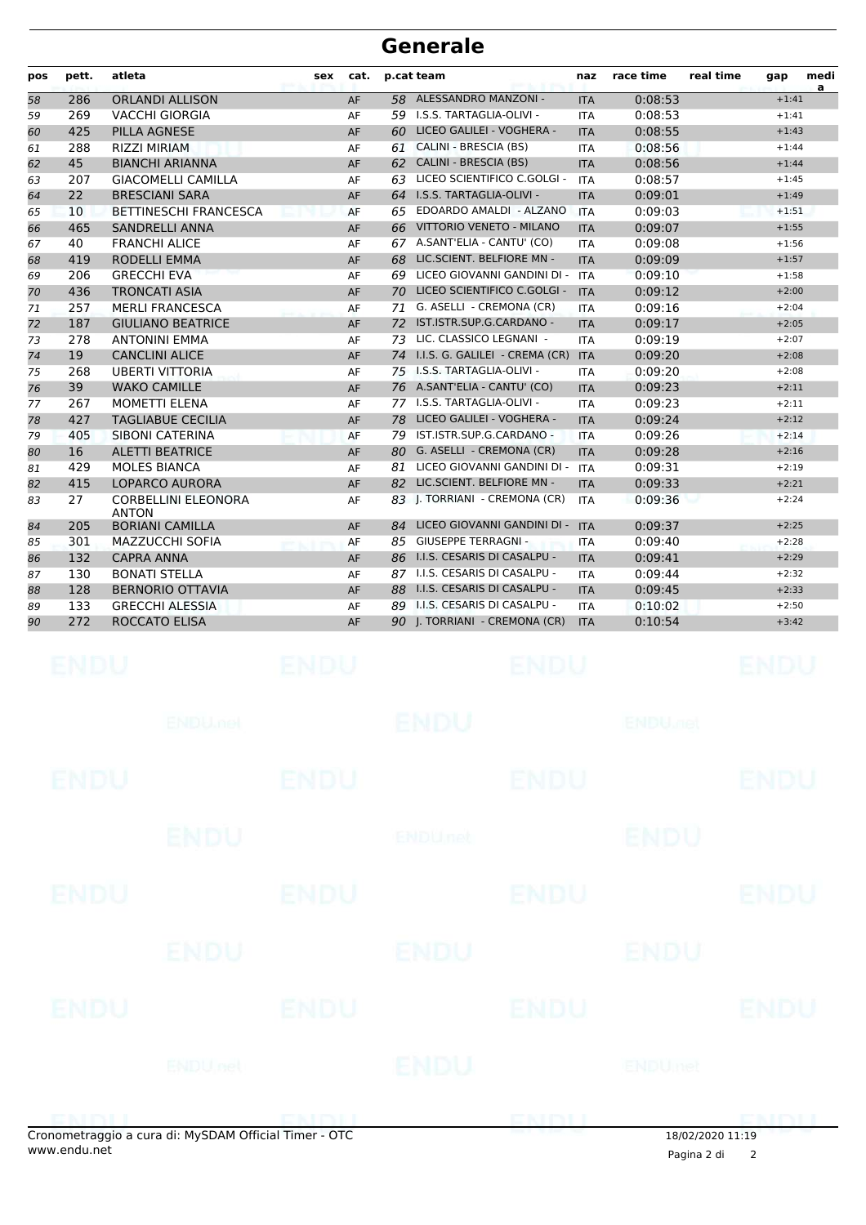| pos | pett. | atleta                                     | sex | cat. |    | p.cat team                     | naz        | race time | real time | gap     | medi<br>a |
|-----|-------|--------------------------------------------|-----|------|----|--------------------------------|------------|-----------|-----------|---------|-----------|
| 58  | 286   | <b>ORLANDI ALLISON</b>                     |     | AF   |    | 58 ALESSANDRO MANZONI -        | <b>ITA</b> | 0:08:53   |           | $+1:41$ |           |
| 59  | 269   | <b>VACCHI GIORGIA</b>                      |     | AF   |    | 59 I.S.S. TARTAGLIA-OLIVI -    | <b>ITA</b> | 0:08:53   |           | $+1:41$ |           |
| 60  | 425   | <b>PILLA AGNESE</b>                        |     | AF   |    | 60 LICEO GALILEI - VOGHERA -   | <b>ITA</b> | 0:08:55   |           | $+1:43$ |           |
| 61  | 288   | <b>RIZZI MIRIAM</b>                        |     | AF   | 61 | CALINI - BRESCIA (BS)          | <b>ITA</b> | 0:08:56   |           | $+1:44$ |           |
| 62  | 45    | <b>BIANCHI ARIANNA</b>                     |     | AF   | 62 | <b>CALINI - BRESCIA (BS)</b>   | <b>ITA</b> | 0:08:56   |           | $+1:44$ |           |
| 63  | 207   | <b>GIACOMELLI CAMILLA</b>                  |     | AF   | 63 | LICEO SCIENTIFICO C.GOLGI -    | <b>ITA</b> | 0:08:57   |           | $+1:45$ |           |
| 64  | 22    | <b>BRESCIANI SARA</b>                      |     | AF   | 64 | I.S.S. TARTAGLIA-OLIVI -       | <b>ITA</b> | 0:09:01   |           | $+1:49$ |           |
| 65  | 10    | <b>BETTINESCHI FRANCESCA</b>               |     | AF   | 65 | EDOARDO AMALDI - ALZANO        | <b>ITA</b> | 0:09:03   |           | $+1:51$ |           |
| 66  | 465   | <b>SANDRELLI ANNA</b>                      |     | AF   | 66 | VITTORIO VENETO - MILANO       | <b>ITA</b> | 0:09:07   |           | $+1:55$ |           |
| 67  | 40    | <b>FRANCHI ALICE</b>                       |     | AF   |    | 67 A.SANT'ELIA - CANTU' (CO)   | <b>ITA</b> | 0:09:08   |           | $+1:56$ |           |
| 68  | 419   | <b>RODELLI EMMA</b>                        |     | AF   | 68 | LIC.SCIENT. BELFIORE MN -      | <b>ITA</b> | 0:09:09   |           | $+1:57$ |           |
| 69  | 206   | <b>GRECCHI EVA</b>                         |     | AF   |    | 69 LICEO GIOVANNI GANDINI DI - | <b>ITA</b> | 0:09:10   |           | $+1:58$ |           |
| 70  | 436   | <b>TRONCATI ASIA</b>                       |     | AF   | 70 | LICEO SCIENTIFICO C.GOLGI -    | <b>ITA</b> | 0:09:12   |           | $+2:00$ |           |
| 71  | 257   | <b>MERLI FRANCESCA</b>                     |     | AF   | 71 | G. ASELLI - CREMONA (CR)       | <b>ITA</b> | 0:09:16   |           | $+2:04$ |           |
| 72  | 187   | <b>GIULIANO BEATRICE</b>                   |     | AF   | 72 | IST.ISTR.SUP.G.CARDANO -       | <b>ITA</b> | 0:09:17   |           | $+2:05$ |           |
| 73  | 278   | <b>ANTONINI EMMA</b>                       |     | AF   | 73 | LIC. CLASSICO LEGNANI -        | <b>ITA</b> | 0:09:19   |           | $+2:07$ |           |
| 74  | 19    | <b>CANCLINI ALICE</b>                      |     | AF   | 74 | I.I.S. G. GALILEI - CREMA (CR) | <b>ITA</b> | 0:09:20   |           | $+2:08$ |           |
| 75  | 268   | <b>UBERTI VITTORIA</b>                     |     | AF   | 75 | I.S.S. TARTAGLIA-OLIVI -       | <b>ITA</b> | 0:09:20   |           | $+2:08$ |           |
| 76  | 39    | <b>WAKO CAMILLE</b>                        |     | AF   |    | 76 A.SANT'ELIA - CANTU' (CO)   | <b>ITA</b> | 0:09:23   |           | $+2:11$ |           |
| 77  | 267   | <b>MOMETTI ELENA</b>                       |     | AF   | 77 | I.S.S. TARTAGLIA-OLIVI -       | <b>ITA</b> | 0:09:23   |           | $+2:11$ |           |
| 78  | 427   | <b>TAGLIABUE CECILIA</b>                   |     | AF   | 78 | LICEO GALILEI - VOGHERA -      | <b>ITA</b> | 0:09:24   |           | $+2:12$ |           |
| 79  | 405   | SIBONI CATERINA                            |     | AF   |    | 79 IST.ISTR.SUP.G.CARDANO -    | <b>ITA</b> | 0:09:26   |           | $+2:14$ |           |
| 80  | 16    | <b>ALETTI BEATRICE</b>                     |     | AF   |    | 80 G. ASELLI - CREMONA (CR)    | <b>ITA</b> | 0:09:28   |           | $+2:16$ |           |
| 81  | 429   | <b>MOLES BIANCA</b>                        |     | AF   | 81 | LICEO GIOVANNI GANDINI DI -    | <b>ITA</b> | 0:09:31   |           | $+2:19$ |           |
| 82  | 415   | <b>LOPARCO AURORA</b>                      |     | AF   |    | 82 LIC.SCIENT. BELFIORE MN -   | <b>ITA</b> | 0:09:33   |           | $+2:21$ |           |
| 83  | 27    | <b>CORBELLINI ELEONORA</b><br><b>ANTON</b> |     | AF   |    | 83 J. TORRIANI - CREMONA (CR)  | <b>ITA</b> | 0:09:36   |           | $+2:24$ |           |
| 84  | 205   | <b>BORIANI CAMILLA</b>                     |     | AF   | 84 | LICEO GIOVANNI GANDINI DI -    | <b>ITA</b> | 0:09:37   |           | $+2:25$ |           |
| 85  | 301   | <b>MAZZUCCHI SOFIA</b>                     |     | AF   |    | 85 GIUSEPPE TERRAGNI -         | <b>ITA</b> | 0:09:40   |           | $+2:28$ |           |
| 86  | 132   | <b>CAPRA ANNA</b>                          |     | AF   |    | 86 I.I.S. CESARIS DI CASALPU - | <b>ITA</b> | 0:09:41   |           | $+2:29$ |           |
| 87  | 130   | <b>BONATI STELLA</b>                       |     | AF   |    | 87 I.I.S. CESARIS DI CASALPU - | <b>ITA</b> | 0:09:44   |           | $+2:32$ |           |
| 88  | 128   | <b>BERNORIO OTTAVIA</b>                    |     | AF   |    | 88 I.I.S. CESARIS DI CASALPU - | <b>ITA</b> | 0:09:45   |           | $+2:33$ |           |
| 89  | 133   | <b>GRECCHI ALESSIA</b>                     |     | AF   |    | 89 I.I.S. CESARIS DI CASALPU - | <b>ITA</b> | 0:10:02   |           | $+2:50$ |           |
| 90  | 272   | ROCCATO ELISA                              |     | AF   |    | 90   TORRIANI - CREMONA (CR)   | <b>ITA</b> | 0:10:54   |           | $+3:42$ |           |
|     |       |                                            |     |      |    |                                |            |           |           |         |           |

|             | onometraggio a cura di: MySDAM Official Timer - OTC |             |                | ENDI        | 18/02/2020 11:19 |             |
|-------------|-----------------------------------------------------|-------------|----------------|-------------|------------------|-------------|
|             | <b>ENDUnet</b>                                      |             | <b>ENDU</b>    |             | <b>ENDUmet</b>   |             |
| <b>ENDU</b> |                                                     | <b>ENDU</b> |                | <b>ENDU</b> |                  | <b>ENDU</b> |
|             | <b>ENDU</b>                                         |             | ENDU           |             | ENDU             |             |
| ENDU        |                                                     | <b>ENDU</b> |                | <b>ENDU</b> |                  | <b>ENDU</b> |
|             | <b>ENDU</b>                                         |             | <b>ENDUnet</b> |             | <b>ENDU</b>      |             |
| <b>ENDU</b> |                                                     | <b>ENDU</b> |                | <b>ENDU</b> |                  | <b>ENDU</b> |
|             | <b>ENDUMBL</b>                                      |             | <b>ENDU</b>    |             | <b>ENDUMBI</b>   |             |
| <b>ENDU</b> |                                                     | <b>ENDU</b> |                | <b>ENDU</b> |                  | <b>ENDU</b> |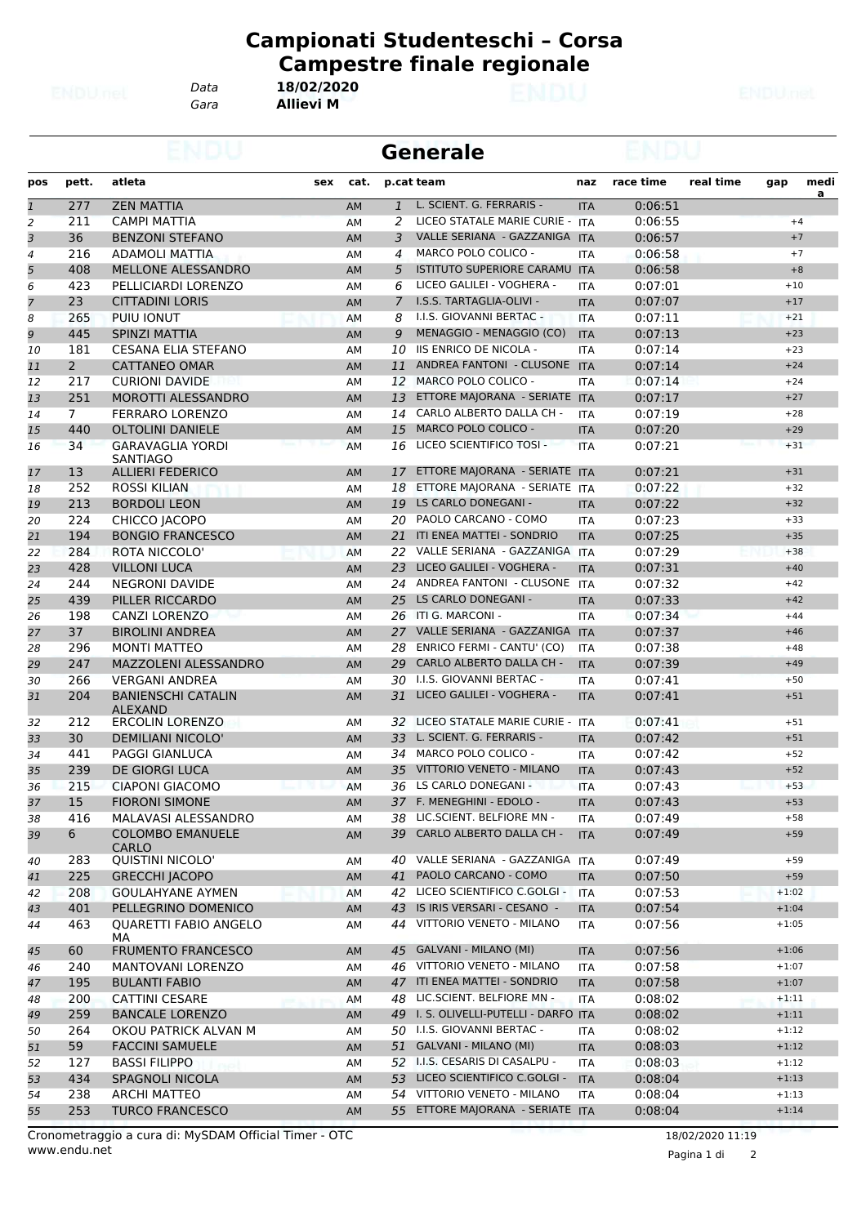*Gara* **Allievi M**

|                |                |                                             |           |                | <b>Generale</b>                       |            |           |           |         |          |
|----------------|----------------|---------------------------------------------|-----------|----------------|---------------------------------------|------------|-----------|-----------|---------|----------|
| pos            | pett.          | atleta<br>sex                               | cat.      |                | p.cat team                            | naz        | race time | real time | gap     | medi     |
| $\overline{1}$ | 277            | <b>ZEN MATTIA</b>                           | AM        | $\mathbf{1}$   | L. SCIENT. G. FERRARIS -              | <b>ITA</b> | 0:06:51   |           |         | <u>a</u> |
| $\overline{c}$ | 211            | <b>CAMPI MATTIA</b>                         | AM        | 2              | LICEO STATALE MARIE CURIE - ITA       |            | 0:06:55   |           | $+4$    |          |
| 3              | 36             | <b>BENZONI STEFANO</b>                      | AM        | 3              | VALLE SERIANA - GAZZANIGA             | <b>ITA</b> | 0:06:57   |           | $+7$    |          |
| 4              | 216            | ADAMOLI MATTIA                              | AM        | 4              | MARCO POLO COLICO -                   | <b>ITA</b> | 0:06:58   |           | $+7$    |          |
| 5              | 408            | MELLONE ALESSANDRO                          | AM        | 5              | ISTITUTO SUPERIORE CARAMU             | <b>ITA</b> | 0:06:58   |           | $+8$    |          |
| 6              | 423            | PELLICIARDI LORENZO                         | AM        | 6              | LICEO GALILEI - VOGHERA -             | <b>ITA</b> | 0:07:01   |           | $+10$   |          |
| $\overline{7}$ | 23             | <b>CITTADINI LORIS</b>                      | AM        | $\overline{7}$ | I.S.S. TARTAGLIA-OLIVI -              | <b>ITA</b> | 0:07:07   |           | $+17$   |          |
| 8              | 265            | PUIU IONUT                                  | AM        | 8              | I.I.S. GIOVANNI BERTAC -              | <b>ITA</b> | 0:07:11   |           | $+21$   |          |
| 9              | 445            | SPINZI MATTIA                               | AM        | 9              | MENAGGIO - MENAGGIO (CO)              | <b>ITA</b> | 0:07:13   |           | $+23$   |          |
| 10             | 181            | <b>CESANA ELIA STEFANO</b>                  | AM        | 10             | <b>IIS ENRICO DE NICOLA -</b>         | <b>ITA</b> | 0:07:14   |           | $+23$   |          |
| 11             | $\overline{2}$ | <b>CATTANEO OMAR</b>                        | <b>AM</b> | 11             | ANDREA FANTONI - CLUSONE ITA          |            | 0:07:14   |           | $+24$   |          |
| 12             | 217            | <b>CURIONI DAVIDE</b>                       | AM        | 12             | MARCO POLO COLICO -                   | <b>ITA</b> | 0:07:14   |           | $+24$   |          |
| 13             | 251            | <b>MOROTTI ALESSANDRO</b>                   | AM        | 13             | ETTORE MAJORANA - SERIATE ITA         |            | 0:07:17   |           | $+27$   |          |
| 14             | $7^{\circ}$    | <b>FERRARO LORENZO</b>                      | AM        | 14             | CARLO ALBERTO DALLA CH -              | <b>ITA</b> | 0:07:19   |           | $+28$   |          |
| 15             | 440            | <b>OLTOLINI DANIELE</b>                     | AM        | 15             | <b>MARCO POLO COLICO -</b>            | <b>ITA</b> | 0:07:20   |           | $+29$   |          |
| 16             | 34             | <b>GARAVAGLIA YORDI</b><br>SANTIAGO         | AM        | 16             | LICEO SCIENTIFICO TOSI -              | <b>ITA</b> | 0:07:21   |           | $+31$   |          |
| 17             | 13             | <b>ALLIERI FEDERICO</b>                     | AM        | 17             | ETTORE MAJORANA - SERIATE ITA         |            | 0:07:21   |           | $+31$   |          |
| 18             | 252            | ROSSI KILIAN                                | AM        | 18             | ETTORE MAJORANA - SERIATE ITA         |            | 0:07:22   |           | $+32$   |          |
| 19             | 213            | <b>BORDOLI LEON</b>                         | AM        | 19             | LS CARLO DONEGANI -                   | <b>ITA</b> | 0:07:22   |           | $+32$   |          |
| 20             | 224            | CHICCO JACOPO                               | AM        | 20             | PAOLO CARCANO - COMO                  | <b>ITA</b> | 0:07:23   |           | $+33$   |          |
| 21             | 194            | <b>BONGIO FRANCESCO</b>                     | <b>AM</b> | 21             | ITI ENEA MATTEI - SONDRIO             | <b>ITA</b> | 0:07:25   |           | $+35$   |          |
| 22             | 284            | ROTA NICCOLO'                               | AM        | 22             | VALLE SERIANA - GAZZANIGA             | <b>ITA</b> | 0:07:29   |           | $+38$   |          |
| 23             | 428            | <b>VILLONI LUCA</b>                         | AM        | 23             | LICEO GALILEI - VOGHERA -             | <b>ITA</b> | 0:07:31   |           | $+40$   |          |
| 24             | 244            | <b>NEGRONI DAVIDE</b>                       | AM        | 24             | ANDREA FANTONI - CLUSONE              | <b>ITA</b> | 0:07:32   |           | $+42$   |          |
| 25             | 439            | PILLER RICCARDO                             | AM        | 25             | LS CARLO DONEGANI -                   | <b>ITA</b> | 0:07:33   |           | $+42$   |          |
| 26             | 198            | CANZI LORENZO                               | AM        |                | 26 ITI G. MARCONI -                   | <b>ITA</b> | 0:07:34   |           | $+44$   |          |
| 27             | 37             | <b>BIROLINI ANDREA</b>                      | <b>AM</b> | 27             | VALLE SERIANA - GAZZANIGA             | <b>ITA</b> | 0:07:37   |           | $+46$   |          |
| 28             | 296            | <b>MONTI MATTEO</b>                         | АM        | 28             | <b>ENRICO FERMI - CANTU' (CO)</b>     | <b>ITA</b> | 0:07:38   |           | $+48$   |          |
| 29             | 247            | MAZZOLENI ALESSANDRO                        | AM        | 29             | <b>CARLO ALBERTO DALLA CH -</b>       | <b>ITA</b> | 0:07:39   |           | $+49$   |          |
| 30             | 266            | <b>VERGANI ANDREA</b>                       | AM        | 30             | I.I.S. GIOVANNI BERTAC -              | <b>ITA</b> | 0:07:41   |           | $+50$   |          |
| 31             | 204            | <b>BANIENSCHI CATALIN</b><br><b>ALEXAND</b> | AM        | 31             | LICEO GALILEI - VOGHERA -             | <b>ITA</b> | 0:07:41   |           | $+51$   |          |
| 32             | 212            | <b>ERCOLIN LORENZO</b>                      | АM        | 32             | LICEO STATALE MARIE CURIE -           | <b>ITA</b> | 0:07:41   |           | $+51$   |          |
| 33             | 30             | <b>DEMILIANI NICOLO'</b>                    | AM        |                | 33 L. SCIENT. G. FERRARIS -           | <b>ITA</b> | 0:07:42   |           | $+51$   |          |
| 34             | 441            | <b>PAGGI GIANLUCA</b>                       | AM        | 34             | MARCO POLO COLICO -                   | <b>ITA</b> | 0:07:42   |           | $+52$   |          |
| 35             | 239            | <b>DE GIORGI LUCA</b>                       | AM        | 35             | VITTORIO VENETO - MILANO              | <b>ITA</b> | 0:07:43   |           | $+52$   |          |
| 36             | 215            | CIAPONI GIACOMO                             | AM        |                | 36 LS CARLO DONEGANI -                | <b>ITA</b> | 0:07:43   |           | $+53$   |          |
| 37             | 15             | <b>FIORONI SIMONE</b>                       | AM        |                | 37 F. MENEGHINI - EDOLO -             | <b>ITA</b> | 0:07:43   |           | $+53$   |          |
| 38             | 416            | MALAVASI ALESSANDRO                         | АM        | 38             | LIC.SCIENT. BELFIORE MN -             | ITA        | 0:07:49   |           | $+58$   |          |
| 39             | 6              | <b>COLOMBO EMANUELE</b><br>CARLO            | AM        | 39             | CARLO ALBERTO DALLA CH -              | <b>ITA</b> | 0:07:49   |           | $+59$   |          |
| 40             | 283            | QUISTINI NICOLO'                            | AM        | 40             | VALLE SERIANA - GAZZANIGA ITA         |            | 0:07:49   |           | $+59$   |          |
| 41             | 225            | <b>GRECCHI JACOPO</b>                       | AM        | 41             | PAOLO CARCANO - COMO                  | <b>ITA</b> | 0:07:50   |           | $+59$   |          |
| 42             | 208            | <b>GOULAHYANE AYMEN</b>                     | AM        | 42             | LICEO SCIENTIFICO C.GOLGI -           | ITA        | 0:07:53   |           | $+1:02$ |          |
| 43             | 401            | PELLEGRINO DOMENICO                         | AM        | 43             | IS IRIS VERSARI - CESANO -            | <b>ITA</b> | 0:07:54   |           | $+1:04$ |          |
| 44             | 463            | <b>QUARETTI FABIO ANGELO</b><br>MA.         | AM        | 44             | VITTORIO VENETO - MILANO              | ITA        | 0:07:56   |           | $+1:05$ |          |
| 45             | 60             | <b>FRUMENTO FRANCESCO</b>                   | AM        | 45             | GALVANI - MILANO (MI)                 | <b>ITA</b> | 0:07:56   |           | $+1:06$ |          |
| 46             | 240            | MANTOVANI LORENZO                           | AM        | 46             | VITTORIO VENETO - MILANO              | ITA        | 0:07:58   |           | $+1:07$ |          |
| 47             | 195            | <b>BULANTI FABIO</b>                        | AM        |                | 47 ITI ENEA MATTEI - SONDRIO          | <b>ITA</b> | 0:07:58   |           | $+1:07$ |          |
| 48             | 200            | <b>CATTINI CESARE</b>                       | AM        | 48             | LIC.SCIENT. BELFIORE MN -             | ITA        | 0:08:02   |           | $+1:11$ |          |
| 49             | 259            | <b>BANCALE LORENZO</b>                      | AM        |                | 49 I. S. OLIVELLI-PUTELLI - DARFO ITA |            | 0:08:02   |           | $+1:11$ |          |
| 50             | 264            | OKOU PATRICK ALVAN M                        | AM        |                | 50 I.I.S. GIOVANNI BERTAC -           | ITA        | 0:08:02   |           | $+1:12$ |          |
| 51             | 59             | <b>FACCINI SAMUELE</b>                      | AM        | 51             | GALVANI - MILANO (MI)                 | <b>ITA</b> | 0:08:03   |           | $+1:12$ |          |
| 52             | 127            | <b>BASSI FILIPPO</b>                        | AM        |                | 52 I.I.S. CESARIS DI CASALPU -        | <b>ITA</b> | 0:08:03   |           | $+1:12$ |          |
| 53             | 434            | <b>SPAGNOLI NICOLA</b>                      | AM        | 53             | LICEO SCIENTIFICO C.GOLGI -           | <b>ITA</b> | 0:08:04   |           | $+1:13$ |          |
| 54             | 238            | <b>ARCHI MATTEO</b>                         | AM        | 54             | VITTORIO VENETO - MILANO              | ITA        | 0:08:04   |           | $+1:13$ |          |
| 55             | 253            | <b>TURCO FRANCESCO</b>                      | AM        | 55             | ETTORE MAJORANA - SERIATE ITA         |            | 0:08:04   |           | $+1:14$ |          |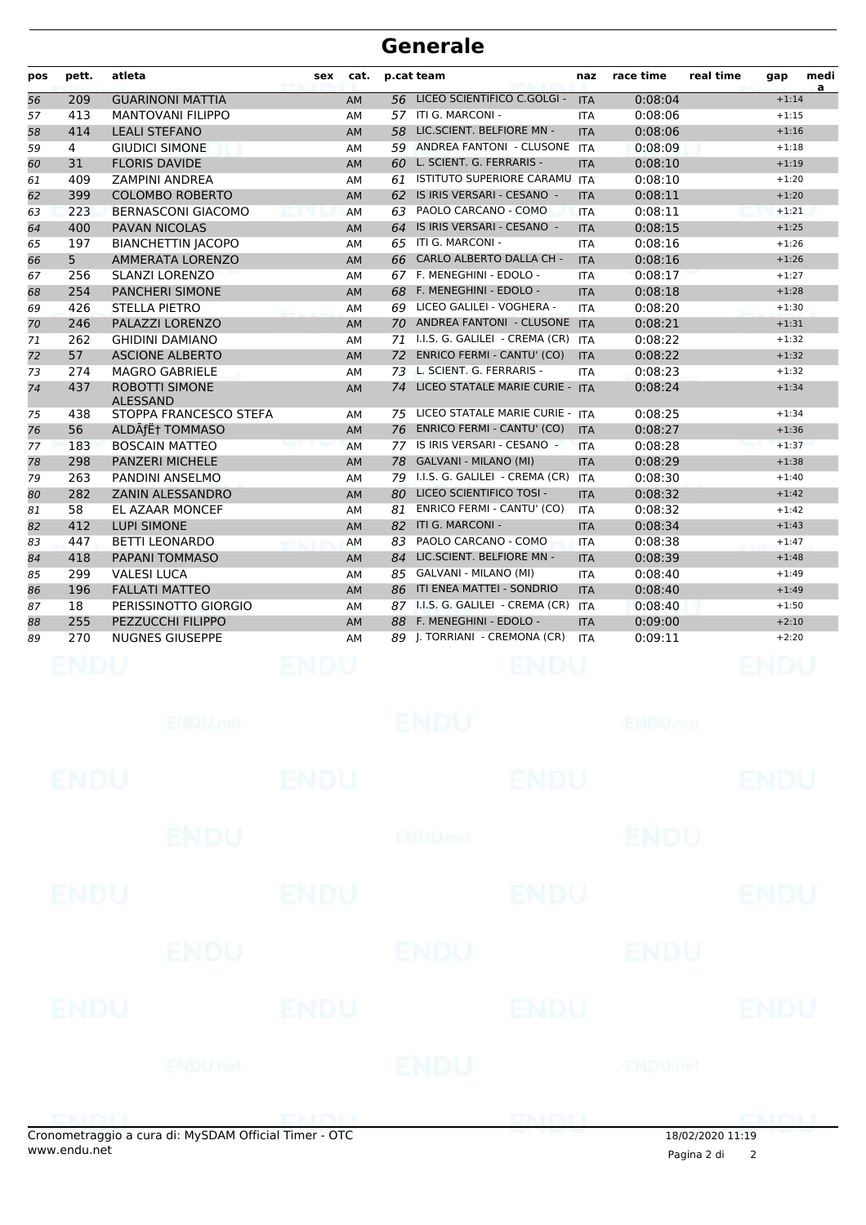| pos | pett.          | atleta                                   | sex | cat.      | p.cat team |                                       | naz        | race time | real time | gap     | medi<br>a |
|-----|----------------|------------------------------------------|-----|-----------|------------|---------------------------------------|------------|-----------|-----------|---------|-----------|
| 56  | 209            | <b>GUARINONI MATTIA</b>                  |     | AM        | 56         | LICEO SCIENTIFICO C.GOLGI -           | <b>ITA</b> | 0:08:04   |           | $+1:14$ |           |
| 57  | 413            | <b>MANTOVANI FILIPPO</b>                 |     | AM        | 57         | ITI G. MARCONI -                      | <b>ITA</b> | 0:08:06   |           | $+1:15$ |           |
| 58  | 414            | <b>LEALI STEFANO</b>                     |     | <b>AM</b> | 58         | LIC.SCIENT. BELFIORE MN -             | <b>ITA</b> | 0:08:06   |           | $+1:16$ |           |
| 59  | 4              | <b>GIUDICI SIMONE</b>                    |     | AM        | 59         | ANDREA FANTONI - CLUSONE              | <b>ITA</b> | 0:08:09   |           | $+1:18$ |           |
| 60  | 31             | <b>FLORIS DAVIDE</b>                     |     | <b>AM</b> | 60         | L. SCIENT. G. FERRARIS -              | <b>ITA</b> | 0:08:10   |           | $+1:19$ |           |
| 61  | 409            | <b>ZAMPINI ANDREA</b>                    |     | AM        | 61         | <b>ISTITUTO SUPERIORE CARAMU</b>      | <b>ITA</b> | 0:08:10   |           | $+1:20$ |           |
| 62  | 399            | <b>COLOMBO ROBERTO</b>                   |     | <b>AM</b> | 62         | IS IRIS VERSARI - CESANO -            | <b>ITA</b> | 0:08:11   |           | $+1:20$ |           |
| 63  | 223            | BERNASCONI GIACOMO                       |     | AM        | 63         | PAOLO CARCANO - COMO                  | <b>ITA</b> | 0:08:11   |           | $+1:21$ |           |
| 64  | 400            | <b>PAVAN NICOLAS</b>                     |     | <b>AM</b> | 64         | IS IRIS VERSARI - CESANO -            | <b>ITA</b> | 0:08:15   |           | $+1:25$ |           |
| 65  | 197            | <b>BIANCHETTIN JACOPO</b>                |     | AM        | 65         | ITI G. MARCONI -                      | <b>ITA</b> | 0:08:16   |           | $+1:26$ |           |
| 66  | 5 <sup>5</sup> | <b>AMMERATA LORENZO</b>                  |     | <b>AM</b> | 66         | <b>CARLO ALBERTO DALLA CH -</b>       | <b>ITA</b> | 0:08:16   |           | $+1:26$ |           |
| 67  | 256            | <b>SLANZI LORENZO</b>                    |     | AM        | 67         | F. MENEGHINI - EDOLO -                | <b>ITA</b> | 0:08:17   |           | $+1:27$ |           |
| 68  | 254            | <b>PANCHERI SIMONE</b>                   |     | <b>AM</b> | 68         | F. MENEGHINI - EDOLO -                | <b>ITA</b> | 0:08:18   |           | $+1:28$ |           |
| 69  | 426            | <b>STELLA PIETRO</b>                     |     | AM        | 69         | LICEO GALILEI - VOGHERA -             | <b>ITA</b> | 0:08:20   |           | $+1:30$ |           |
| 70  | 246            | PALAZZI LORENZO                          |     | <b>AM</b> | 70         | ANDREA FANTONI - CLUSONE ITA          |            | 0:08:21   |           | $+1:31$ |           |
| 71  | 262            | <b>GHIDINI DAMIANO</b>                   |     | AM        | 71         | I.I.S. G. GALILEI - CREMA (CR)        | <b>ITA</b> | 0:08:22   |           | $+1:32$ |           |
| 72  | 57             | <b>ASCIONE ALBERTO</b>                   |     | <b>AM</b> | 72         | <b>ENRICO FERMI - CANTU' (CO)</b>     | <b>ITA</b> | 0:08:22   |           | $+1:32$ |           |
| 73  | 274            | <b>MAGRO GABRIELE</b>                    |     | AM        | 73         | L. SCIENT. G. FERRARIS -              | <b>ITA</b> | 0:08:23   |           | $+1:32$ |           |
| 74  | 437            | <b>ROBOTTI SIMONE</b><br><b>ALESSAND</b> |     | <b>AM</b> | 74         | LICEO STATALE MARIE CURIE - ITA       |            | 0:08:24   |           | $+1:34$ |           |
| 75  | 438            | STOPPA FRANCESCO STEFA                   |     | AM        | 75         | LICEO STATALE MARIE CURIE - ITA       |            | 0:08:25   |           | $+1:34$ |           |
| 76  | 56             | ALDÃfˆ TOMMASO                           |     | <b>AM</b> |            | 76 ENRICO FERMI - CANTU' (CO)         | <b>ITA</b> | 0:08:27   |           | $+1:36$ |           |
| 77  | 183            | <b>BOSCAIN MATTEO</b>                    |     | AM        | 77         | IS IRIS VERSARI - CESANO -            | <b>ITA</b> | 0:08:28   |           | $+1:37$ |           |
| 78  | 298            | <b>PANZERI MICHELE</b>                   |     | <b>AM</b> |            | 78 GALVANI - MILANO (MI)              | <b>ITA</b> | 0:08:29   |           | $+1:38$ |           |
| 79  | 263            | PANDINI ANSELMO                          |     | AM        |            | 79 I.I.S. G. GALILEI - CREMA (CR) ITA |            | 0:08:30   |           | $+1:40$ |           |
| 80  | 282            | <b>ZANIN ALESSANDRO</b>                  |     | <b>AM</b> |            | 80 LICEO SCIENTIFICO TOSI -           | <b>ITA</b> | 0:08:32   |           | $+1:42$ |           |
| 81  | 58             | EL AZAAR MONCEF                          |     | AM        |            | 81 ENRICO FERMI - CANTU' (CO)         | <b>ITA</b> | 0:08:32   |           | $+1:42$ |           |
| 82  | 412            | <b>LUPI SIMONE</b>                       |     | <b>AM</b> |            | 82 ITI G. MARCONI -                   | <b>ITA</b> | 0:08:34   |           | $+1:43$ |           |
| 83  | 447            | <b>BETTI LEONARDO</b>                    |     | AM        | 83         | PAOLO CARCANO - COMO                  | <b>ITA</b> | 0:08:38   |           | $+1:47$ |           |
| 84  | 418            | PAPANI TOMMASO                           |     | <b>AM</b> |            | 84 LIC.SCIENT. BELFIORE MN -          | <b>ITA</b> | 0:08:39   |           | $+1:48$ |           |
| 85  | 299            | <b>VALESI LUCA</b>                       |     | AM        |            | 85 GALVANI - MILANO (MI)              | <b>ITA</b> | 0:08:40   |           | $+1:49$ |           |
| 86  | 196            | <b>FALLATI MATTEO</b>                    |     | <b>AM</b> |            | 86 ITI ENEA MATTEI - SONDRIO          | <b>ITA</b> | 0:08:40   |           | $+1:49$ |           |
| 87  | 18             | PERISSINOTTO GIORGIO                     |     | AM        |            | 87 I.I.S. G. GALILEI - CREMA (CR)     | <b>ITA</b> | 0:08:40   |           | $+1:50$ |           |
| 88  | 255            | PEZZUCCHI FILIPPO                        |     | <b>AM</b> |            | 88 F. MENEGHINI - EDOLO -             | <b>ITA</b> | 0:09:00   |           | $+2:10$ |           |
| 89  | 270            | <b>NUGNES GIUSEPPE</b>                   |     | AM        |            | 89   TORRIANI - CREMONA (CR)          | <b>ITA</b> | 0:09:11   |           | $+2:20$ |           |
|     |                |                                          |     |           |            |                                       |            |           |           |         |           |

|             |                |             |                           | ENDIT       | $101000000000000$         | <b>CMMI</b> |
|-------------|----------------|-------------|---------------------------|-------------|---------------------------|-------------|
|             | ENDUnet        |             | ENDU                      |             | ENDUmet                   |             |
| <b>ENDU</b> |                | <b>ENDU</b> |                           | <b>ENDU</b> |                           | <b>ENDU</b> |
|             | <b>ENDU</b>    |             | <b>ENDU</b>               |             | ENDU                      |             |
| <b>ENDU</b> |                | <b>ENDU</b> |                           | <b>ENDU</b> |                           | <b>ENDU</b> |
|             | ENDU           |             | <b>ENDU<sub>net</sub></b> |             | <b>ENDU</b>               |             |
| <b>ENDU</b> |                | ENDU        |                           | <b>ENDU</b> |                           | <b>ENDU</b> |
|             | <b>ENDUMBL</b> |             | <b>ENDU</b>               |             | <b>ENDU<sub>DEL</sub></b> |             |

18/02/2020 11:19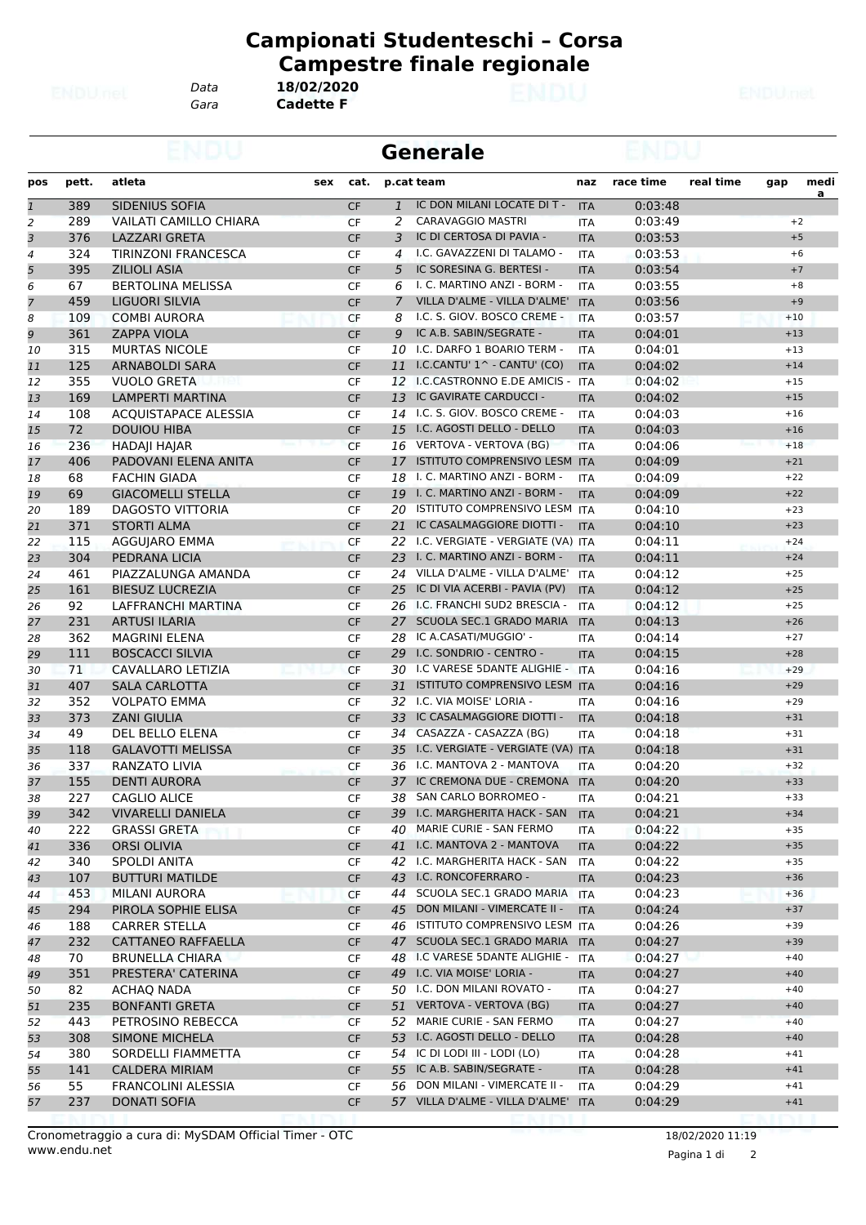*Data* **18/02/2020**

**Campionati Studenteschi – Corsa Campestre finale regionale**

*Gara* **Cadette F**

|                |       |                               |           |    | <b>Generale</b>                                                     |            |           |           |       |                  |
|----------------|-------|-------------------------------|-----------|----|---------------------------------------------------------------------|------------|-----------|-----------|-------|------------------|
| pos            | pett. | atleta<br>sex                 | cat.      |    | p.cat team                                                          | naz        | race time | real time | gap   | medi<br><u>a</u> |
| $\mathbf{1}$   | 389   | SIDENIUS SOFIA                | <b>CF</b> |    | IC DON MILANI LOCATE DI T -<br>$\mathbf{1}$                         | <b>ITA</b> | 0:03:48   |           |       |                  |
| $\overline{2}$ | 289   | <b>VAILATI CAMILLO CHIARA</b> | <b>CF</b> | 2  | CARAVAGGIO MASTRI                                                   | <b>ITA</b> | 0:03:49   |           |       | $+2$             |
| 3              | 376   | <b>LAZZARI GRETA</b>          | CF        | 3  | IC DI CERTOSA DI PAVIA -                                            | <b>ITA</b> | 0:03:53   |           | $+5$  |                  |
| $\overline{4}$ | 324   | TIRINZONI FRANCESCA           | <b>CF</b> | 4  | I.C. GAVAZZENI DI TALAMO -                                          | <b>ITA</b> | 0:03:53   |           |       | $+6$             |
| 5              | 395   | <b>ZILIOLI ASIA</b>           | <b>CF</b> | 5  | IC SORESINA G. BERTESI -                                            | <b>ITA</b> | 0:03:54   |           | $+7$  |                  |
| 6              | 67    | <b>BERTOLINA MELISSA</b>      | CF        | 6  | I. C. MARTINO ANZI - BORM -                                         | <b>ITA</b> | 0:03:55   |           |       | $+8$             |
| 7              | 459   | LIGUORI SILVIA                | <b>CF</b> |    | VILLA D'ALME - VILLA D'ALME'<br>7                                   | <b>ITA</b> | 0:03:56   |           | $+9$  |                  |
| 8              | 109   | <b>COMBI AURORA</b>           | CF        | 8  | I.C. S. GIOV. BOSCO CREME -                                         | <b>ITA</b> | 0:03:57   |           | $+10$ |                  |
| 9              | 361   | <b>ZAPPA VIOLA</b>            | <b>CF</b> | 9  | IC A.B. SABIN/SEGRATE -                                             | <b>ITA</b> | 0:04:01   |           | $+13$ |                  |
| 10             | 315   | <b>MURTAS NICOLE</b>          | <b>CF</b> |    | I.C. DARFO 1 BOARIO TERM -<br>10                                    | <b>ITA</b> | 0:04:01   |           | $+13$ |                  |
| 11             | 125   | ARNABOLDI SARA                | <b>CF</b> | 11 | I.C.CANTU' $1^{\wedge}$ - CANTU' (CO)                               | <b>ITA</b> | 0:04:02   |           | $+14$ |                  |
| 12             | 355   | <b>VUOLO GRETA</b>            | CF        |    | 12 I.C.CASTRONNO E.DE AMICIS - ITA                                  |            | 0:04:02   |           | $+15$ |                  |
| 13             | 169   | LAMPERTI MARTINA              | <b>CF</b> | 13 | IC GAVIRATE CARDUCCI -                                              | <b>ITA</b> | 0:04:02   |           | $+15$ |                  |
| 14             | 108   | <b>ACQUISTAPACE ALESSIA</b>   | <b>CF</b> | 14 | I.C. S. GIOV. BOSCO CREME -                                         | <b>ITA</b> | 0:04:03   |           | $+16$ |                  |
| 15             | 72    | <b>DOUIOU HIBA</b>            | <b>CF</b> | 15 | I.C. AGOSTI DELLO - DELLO                                           | <b>ITA</b> | 0:04:03   |           | $+16$ |                  |
| 16             | 236   | <b>HADAJI HAJAR</b>           | <b>CF</b> |    | 16 VERTOVA - VERTOVA (BG)                                           | <b>ITA</b> | 0:04:06   |           | $+18$ |                  |
| 17             | 406   | PADOVANI ELENA ANITA          | <b>CF</b> | 17 | ISTITUTO COMPRENSIVO LESM ITA                                       |            | 0:04:09   |           | $+21$ |                  |
| 18             | 68    | <b>FACHIN GIADA</b>           | CF        |    | 18 I. C. MARTINO ANZI - BORM -                                      | <b>ITA</b> | 0:04:09   |           | $+22$ |                  |
| 19             | 69    | <b>GIACOMELLI STELLA</b>      | <b>CF</b> |    | 19 I. C. MARTINO ANZI - BORM -                                      | <b>ITA</b> | 0:04:09   |           | $+22$ |                  |
| 20             | 189   | <b>DAGOSTO VITTORIA</b>       | <b>CF</b> | 20 | ISTITUTO COMPRENSIVO LESM ITA                                       |            | 0:04:10   |           | $+23$ |                  |
| 21             | 371   | <b>STORTI ALMA</b>            | <b>CF</b> | 21 | IC CASALMAGGIORE DIOTTI -                                           | <b>ITA</b> | 0:04:10   |           | $+23$ |                  |
| 22             | 115   | AGGUJARO EMMA                 | <b>CF</b> |    | 22 I.C. VERGIATE - VERGIATE (VA) ITA                                |            | 0:04:11   |           | $+24$ |                  |
| 23             | 304   | PEDRANA LICIA                 | <b>CF</b> | 23 | I. C. MARTINO ANZI - BORM -                                         | <b>ITA</b> | 0:04:11   |           | $+24$ |                  |
| 24             | 461   | PIAZZALUNGA AMANDA            | CF        |    | 24 VILLA D'ALME - VILLA D'ALME'                                     | ITA        | 0:04:12   |           | $+25$ |                  |
| 25             | 161   | <b>BIESUZ LUCREZIA</b>        | <b>CF</b> | 25 | IC DI VIA ACERBI - PAVIA (PV)                                       | <b>ITA</b> | 0:04:12   |           | $+25$ |                  |
| 26             | 92    | LAFFRANCHI MARTINA            | <b>CF</b> |    | 26 I.C. FRANCHI SUD2 BRESCIA -                                      | <b>ITA</b> | 0:04:12   |           | $+25$ |                  |
| 27             | 231   | <b>ARTUSI ILARIA</b>          | <b>CF</b> |    | SCUOLA SEC.1 GRADO MARIA<br>27                                      | <b>ITA</b> | 0:04:13   |           | $+26$ |                  |
|                |       |                               |           |    | 28 IC A.CASATI/MUGGIO' -                                            |            |           |           | $+27$ |                  |
| 28             | 362   | MAGRINI ELENA                 | <b>CF</b> |    | I.C. SONDRIO - CENTRO -                                             | <b>ITA</b> | 0:04:14   |           |       |                  |
| 29             | 111   | <b>BOSCACCI SILVIA</b>        | <b>CF</b> |    | 29                                                                  | <b>ITA</b> | 0:04:15   |           | $+28$ |                  |
| 30             | 71    | CAVALLARO LETIZIA             | <b>CF</b> |    | 30 I.C VARESE 5DANTE ALIGHIE - ITA<br>ISTITUTO COMPRENSIVO LESM ITA |            | 0:04:16   |           | $+29$ |                  |
| 31             | 407   | <b>SALA CARLOTTA</b>          | <b>CF</b> |    | 31                                                                  |            | 0:04:16   |           | $+29$ |                  |
| 32             | 352   | <b>VOLPATO EMMA</b>           | CF        |    | 32 I.C. VIA MOISE' LORIA -                                          | <b>ITA</b> | 0:04:16   |           | $+29$ |                  |
| 33             | 373   | <b>ZANI GIULIA</b>            | <b>CF</b> | 33 | IC CASALMAGGIORE DIOTTI -                                           | <b>ITA</b> | 0:04:18   |           | $+31$ |                  |
| 34             | 49    | DEL BELLO ELENA               | CF        | 34 | CASAZZA - CASAZZA (BG)                                              | <b>ITA</b> | 0:04:18   |           | $+31$ |                  |
| 35             | 118   | <b>GALAVOTTI MELISSA</b>      | <b>CF</b> | 35 | I.C. VERGIATE - VERGIATE (VA) ITA                                   |            | 0:04:18   |           | $+31$ |                  |
| 36             | 337   | <b>RANZATO LIVIA</b>          | CF        |    | 36 I.C. MANTOVA 2 - MANTOVA                                         | <b>ITA</b> | 0:04:20   |           | $+32$ |                  |
| 37             | 155   | <b>DENTI AURORA</b>           | <b>CF</b> |    | 37 IC CREMONA DUE - CREMONA                                         | <b>ITA</b> | 0:04:20   |           | $+33$ |                  |
| 38             | 227   | CAGLIO ALICE                  | CF        |    | 38 SAN CARLO BORROMEO -                                             | ITA        | 0:04:21   |           | $+33$ |                  |
| 39             | 342   | <b>VIVARELLI DANIELA</b>      | CF        |    | 39 I.C. MARGHERITA HACK - SAN                                       | <b>ITA</b> | 0:04:21   |           | $+34$ |                  |
| 40             | 222   | <b>GRASSI GRETA</b>           | CF        |    | MARIE CURIE - SAN FERMO<br>40                                       | ITA        | 0:04:22   |           | $+35$ |                  |
| 41             | 336   | <b>ORSI OLIVIA</b>            | <b>CF</b> |    | I.C. MANTOVA 2 - MANTOVA<br>41                                      | <b>ITA</b> | 0:04:22   |           | $+35$ |                  |
| 42             | 340   | <b>SPOLDI ANITA</b>           | CF        |    | 42 I.C. MARGHERITA HACK - SAN                                       | ITA        | 0:04:22   |           | $+35$ |                  |
| 43             | 107   | <b>BUTTURI MATILDE</b>        | <b>CF</b> |    | 43 I.C. RONCOFERRARO -                                              | <b>ITA</b> | 0:04:23   |           | $+36$ |                  |
| 44             | 453   | MILANI AURORA                 | <b>CF</b> |    | SCUOLA SEC.1 GRADO MARIA<br>44                                      | <b>ITA</b> | 0:04:23   |           | $+36$ |                  |
| 45             | 294   | PIROLA SOPHIE ELISA           | CF        |    | DON MILANI - VIMERCATE II -<br>45                                   | <b>ITA</b> | 0:04:24   |           | $+37$ |                  |
| 46             | 188   | <b>CARRER STELLA</b>          | CF        |    | 46 ISTITUTO COMPRENSIVO LESM ITA                                    |            | 0:04:26   |           | $+39$ |                  |
| 47             | 232   | <b>CATTANEO RAFFAELLA</b>     | <b>CF</b> |    | 47 SCUOLA SEC.1 GRADO MARIA ITA                                     |            | 0:04:27   |           | $+39$ |                  |
| 48             | 70    | <b>BRUNELLA CHIARA</b>        | CF        |    | 48 I.C VARESE 5DANTE ALIGHIE - ITA                                  |            | 0:04:27   |           | $+40$ |                  |
| 49             | 351   | PRESTERA' CATERINA            | <b>CF</b> |    | 49 I.C. VIA MOISE' LORIA -                                          | <b>ITA</b> | 0:04:27   |           | $+40$ |                  |
| 50             | 82    | <b>ACHAQ NADA</b>             | CF        |    | 50 I.C. DON MILANI ROVATO -                                         | ITA        | 0:04:27   |           | $+40$ |                  |
| 51             | 235   | <b>BONFANTI GRETA</b>         | CF        |    | VERTOVA - VERTOVA (BG)<br>51                                        | <b>ITA</b> | 0:04:27   |           | $+40$ |                  |
| 52             | 443   | PETROSINO REBECCA             | CF        |    | MARIE CURIE - SAN FERMO<br>52                                       | <b>ITA</b> | 0:04:27   |           | $+40$ |                  |
| 53             | 308   | <b>SIMONE MICHELA</b>         | <b>CF</b> |    | 53 I.C. AGOSTI DELLO - DELLO                                        | <b>ITA</b> | 0:04:28   |           | $+40$ |                  |
| 54             | 380   | SORDELLI FIAMMETTA            | CF        |    | 54 IC DI LODI III - LODI (LO)                                       | ITA        | 0:04:28   |           | $+41$ |                  |
| 55             | 141   | <b>CALDERA MIRIAM</b>         | <b>CF</b> |    | 55 IC A.B. SABIN/SEGRATE -                                          | <b>ITA</b> | 0:04:28   |           | $+41$ |                  |
| 56             | 55    | FRANCOLINI ALESSIA            | CF        |    | 56 DON MILANI - VIMERCATE II -                                      | ITA        | 0:04:29   |           | $+41$ |                  |
| 57             | 237   | <b>DONATI SOFIA</b>           | CF        |    | 57 VILLA D'ALME - VILLA D'ALME'                                     | <b>ITA</b> | 0:04:29   |           | $+41$ |                  |
|                |       |                               |           |    |                                                                     |            |           |           |       |                  |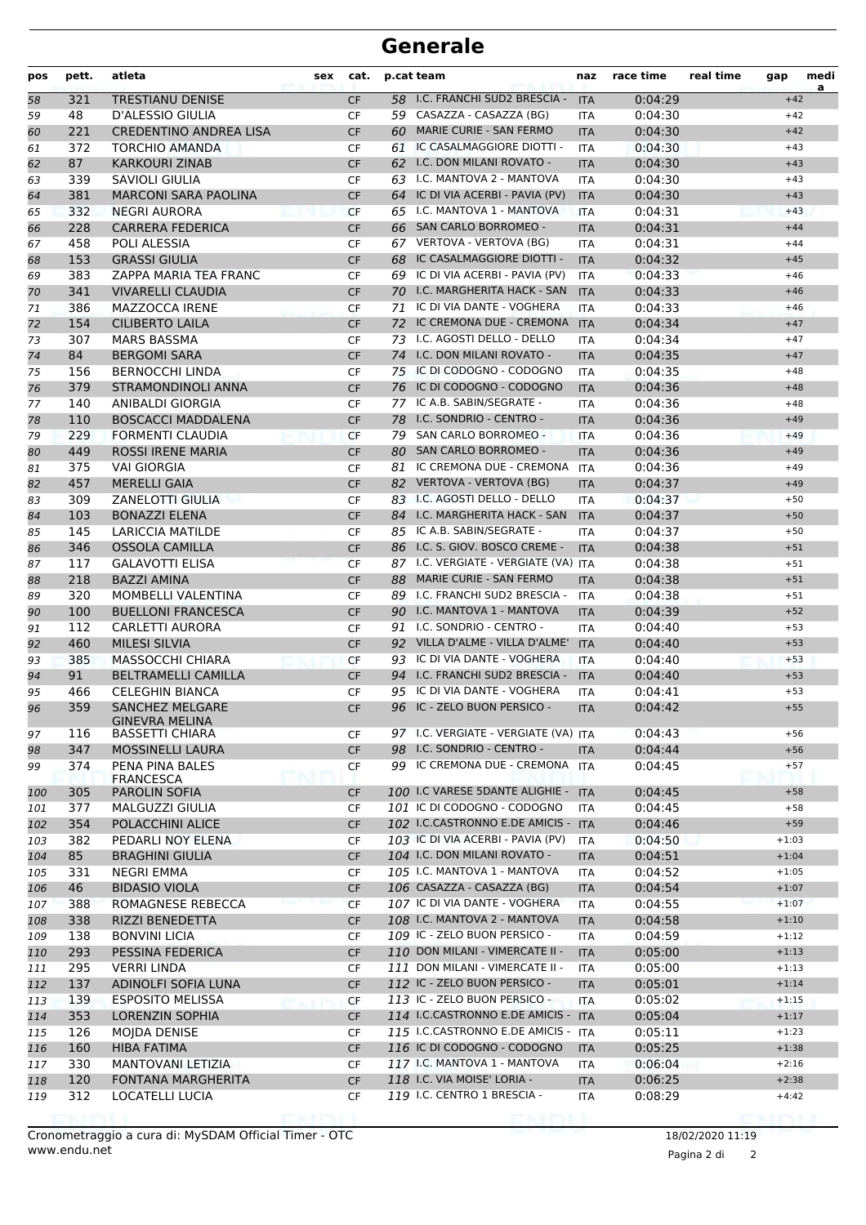| 58<br>59<br>60<br>61<br>62<br>63 | 321<br>48 | <b>TRESTIANU DENISE</b>       |           |    |                                      |            |         |         | a |
|----------------------------------|-----------|-------------------------------|-----------|----|--------------------------------------|------------|---------|---------|---|
|                                  |           |                               | <b>CF</b> |    | 58 I.C. FRANCHI SUD2 BRESCIA -       | <b>ITA</b> | 0:04:29 | $+42$   |   |
|                                  |           | D'ALESSIO GIULIA              | CF        |    | 59 CASAZZA - CASAZZA (BG)            | ITA        | 0:04:30 | $+42$   |   |
|                                  | 221       | <b>CREDENTINO ANDREA LISA</b> | <b>CF</b> |    | 60 MARIE CURIE - SAN FERMO           | <b>ITA</b> | 0:04:30 | $+42$   |   |
|                                  | 372       | <b>TORCHIO AMANDA</b>         | CF        | 61 | IC CASALMAGGIORE DIOTTI -            | <b>ITA</b> | 0:04:30 | $+43$   |   |
|                                  | 87        | <b>KARKOURI ZINAB</b>         | <b>CF</b> | 62 | I.C. DON MILANI ROVATO -             | <b>ITA</b> | 0:04:30 | $+43$   |   |
|                                  | 339       | SAVIOLI GIULIA                | CF        |    | 63 I.C. MANTOVA 2 - MANTOVA          | <b>ITA</b> | 0:04:30 | $+43$   |   |
| 64                               | 381       | <b>MARCONI SARA PAOLINA</b>   | <b>CF</b> |    | 64 IC DI VIA ACERBI - PAVIA (PV)     | <b>ITA</b> | 0:04:30 | $+43$   |   |
| 65                               | 332       | <b>NEGRI AURORA</b>           | <b>CF</b> |    | 65 I.C. MANTOVA 1 - MANTOVA          | <b>ITA</b> | 0:04:31 | $+43$   |   |
| 66                               | 228       | <b>CARRERA FEDERICA</b>       | <b>CF</b> |    | 66 SAN CARLO BORROMEO -              | <b>ITA</b> | 0:04:31 | $+44$   |   |
| 67                               | 458       | POLI ALESSIA                  | CF        |    | 67 VERTOVA - VERTOVA (BG)            | <b>ITA</b> | 0:04:31 | $+44$   |   |
| 68                               | 153       | <b>GRASSI GIULIA</b>          | <b>CF</b> | 68 | IC CASALMAGGIORE DIOTTI -            | <b>ITA</b> | 0:04:32 | $+45$   |   |
| 69                               | 383       | ZAPPA MARIA TEA FRANC         | CF        | 69 | IC DI VIA ACERBI - PAVIA (PV)        | <b>ITA</b> | 0:04:33 | $+46$   |   |
| 70                               | 341       | <b>VIVARELLI CLAUDIA</b>      | <b>CF</b> | 70 | I.C. MARGHERITA HACK - SAN           | <b>ITA</b> | 0:04:33 | $+46$   |   |
| 71                               | 386       | MAZZOCCA IRENE                | CF        | 71 | IC DI VIA DANTE - VOGHERA            | ITA        | 0:04:33 | $+46$   |   |
| 72                               | 154       | <b>CILIBERTO LAILA</b>        | <b>CF</b> |    | 72 IC CREMONA DUE - CREMONA          | <b>ITA</b> | 0:04:34 | $+47$   |   |
| 73                               | 307       | <b>MARS BASSMA</b>            | CF        |    | 73 I.C. AGOSTI DELLO - DELLO         | <b>ITA</b> | 0:04:34 | $+47$   |   |
| 74                               | 84        | <b>BERGOMI SARA</b>           | <b>CF</b> |    | 74 I.C. DON MILANI ROVATO -          | <b>ITA</b> | 0:04:35 | $+47$   |   |
| 75                               | 156       | <b>BERNOCCHI LINDA</b>        | <b>CF</b> |    | 75 IC DI CODOGNO - CODOGNO           | <b>ITA</b> | 0:04:35 | $+48$   |   |
| 76                               | 379       | <b>STRAMONDINOLI ANNA</b>     | <b>CF</b> | 76 | IC DI CODOGNO - CODOGNO              | <b>ITA</b> | 0:04:36 | $+48$   |   |
| 77                               | 140       | <b>ANIBALDI GIORGIA</b>       | CF        | 77 | IC A.B. SABIN/SEGRATE -              | ITA        | 0:04:36 | $+48$   |   |
| 78                               | 110       | <b>BOSCACCI MADDALENA</b>     | <b>CF</b> |    | 78 I.C. SONDRIO - CENTRO -           | <b>ITA</b> | 0:04:36 | $+49$   |   |
| 79                               | 229       | <b>FORMENTI CLAUDIA</b>       | <b>CF</b> |    | 79 SAN CARLO BORROMEO -              | ITA        | 0:04:36 | $+49$   |   |
| 80                               | 449       | <b>ROSSI IRENE MARIA</b>      | <b>CF</b> | 80 | <b>SAN CARLO BORROMEO -</b>          | <b>ITA</b> | 0:04:36 | $+49$   |   |
| 81                               | 375       | <b>VAI GIORGIA</b>            | <b>CF</b> | 81 | IC CREMONA DUE - CREMONA             | <b>ITA</b> | 0:04:36 | $+49$   |   |
| 82                               | 457       | <b>MERELLI GAIA</b>           | <b>CF</b> |    | 82 VERTOVA - VERTOVA (BG)            | <b>ITA</b> | 0:04:37 | $+49$   |   |
| 83                               | 309       | <b>ZANELOTTI GIULIA</b>       | CF        |    | 83 I.C. AGOSTI DELLO - DELLO         | ITA        | 0:04:37 | $+50$   |   |
| 84                               | 103       | <b>BONAZZI ELENA</b>          | <b>CF</b> |    | 84 I.C. MARGHERITA HACK - SAN        | <b>ITA</b> | 0:04:37 | $+50$   |   |
| 85                               | 145       | <b>LARICCIA MATILDE</b>       | CF        |    | 85 IC A.B. SABIN/SEGRATE -           | <b>ITA</b> | 0:04:37 | $+50$   |   |
| 86                               | 346       | <b>OSSOLA CAMILLA</b>         | <b>CF</b> |    | 86 I.C. S. GIOV. BOSCO CREME -       | <b>ITA</b> | 0:04:38 | $+51$   |   |
| 87                               | 117       | <b>GALAVOTTI ELISA</b>        | <b>CF</b> |    | 87 I.C. VERGIATE - VERGIATE (VA) ITA |            | 0:04:38 | $+51$   |   |
| 88                               | 218       | <b>BAZZI AMINA</b>            | <b>CF</b> | 88 | MARIE CURIE - SAN FERMO              | <b>ITA</b> | 0:04:38 | $+51$   |   |
| 89                               | 320       | MOMBELLI VALENTINA            | CF        |    | 89 I.C. FRANCHI SUD2 BRESCIA -       | ITA        | 0:04:38 | $+51$   |   |
| 90                               | 100       | <b>BUELLONI FRANCESCA</b>     | <b>CF</b> |    | 90 I.C. MANTOVA 1 - MANTOVA          | <b>ITA</b> | 0:04:39 | $+52$   |   |
| 91                               | 112       | <b>CARLETTI AURORA</b>        | CF        |    | 91 I.C. SONDRIO - CENTRO -           | ITA        | 0:04:40 | $+53$   |   |
| 92                               | 460       | <b>MILESI SILVIA</b>          | <b>CF</b> |    | 92 VILLA D'ALME - VILLA D'ALME'      | <b>ITA</b> | 0:04:40 | $+53$   |   |
| 93                               | 385       | MASSOCCHI CHIARA              | <b>CF</b> | 93 | IC DI VIA DANTE - VOGHERA            | <b>ITA</b> | 0:04:40 | $+53$   |   |
| 94                               | 91        | <b>BELTRAMELLI CAMILLA</b>    | <b>CF</b> |    | 94 I.C. FRANCHI SUD2 BRESCIA -       | <b>ITA</b> | 0:04:40 | $+53$   |   |
| 95                               | 466       | <b>CELEGHIN BIANCA</b>        | CF        | 95 | IC DI VIA DANTE - VOGHERA            | ITA        | 0:04:41 | $+53$   |   |
| 96                               | 359       | <b>SANCHEZ MELGARE</b>        | <b>CF</b> |    | 96 IC - ZELO BUON PERSICO -          | <b>ITA</b> | 0:04:42 | $+55$   |   |
|                                  |           | <b>GINEVRA MELINA</b>         |           |    |                                      |            |         |         |   |
| 97                               | 116       | <b>BASSETTI CHIARA</b>        | CF        |    | 97 I.C. VERGIATE - VERGIATE (VA) ITA |            | 0:04:43 | $+56$   |   |
| 98                               | 347       | <b>MOSSINELLI LAURA</b>       | <b>CF</b> |    | 98 I.C. SONDRIO - CENTRO -           | <b>ITA</b> | 0:04:44 | $+56$   |   |
| 99                               | 374       | PENA PINA BALES               | CF        |    | 99 IC CREMONA DUE - CREMONA          | ITA        | 0:04:45 | $+57$   |   |
|                                  |           | <b>FRANCESCA</b>              |           |    |                                      |            |         |         |   |
| 100                              | 305       | PAROLIN SOFIA                 | <b>CF</b> |    | 100 I.C VARESE 5DANTE ALIGHIE -      | <b>ITA</b> | 0:04:45 | $+58$   |   |
| 101                              | 377       | <b>MALGUZZI GIULIA</b>        | CF        |    | 101 IC DI CODOGNO - CODOGNO          | <b>ITA</b> | 0:04:45 | $+58$   |   |
| 102                              | 354       | POLACCHINI ALICE              | <b>CF</b> |    | 102 I.C.CASTRONNO E.DE AMICIS - ITA  |            | 0:04:46 | $+59$   |   |
| 103                              | 382       | PEDARLI NOY ELENA             | CF        |    | 103 IC DI VIA ACERBI - PAVIA (PV)    | ITA        | 0:04:50 | $+1:03$ |   |
| 104                              | 85        | <b>BRAGHINI GIULIA</b>        | <b>CF</b> |    | 104 I.C. DON MILANI ROVATO -         | <b>ITA</b> | 0:04:51 | $+1:04$ |   |
| 105                              | 331       | NEGRI EMMA                    | CF        |    | 105 I.C. MANTOVA 1 - MANTOVA         | ITA        | 0:04:52 | $+1:05$ |   |
| 106                              | 46        | <b>BIDASIO VIOLA</b>          | <b>CF</b> |    | 106 CASAZZA - CASAZZA (BG)           | <b>ITA</b> | 0:04:54 | $+1:07$ |   |
| 107                              | 388       | ROMAGNESE REBECCA             | <b>CF</b> |    | 107 IC DI VIA DANTE - VOGHERA        | <b>ITA</b> | 0:04:55 | $+1:07$ |   |
| 108                              | 338       | RIZZI BENEDETTA               | <b>CF</b> |    | 108 I.C. MANTOVA 2 - MANTOVA         | <b>ITA</b> | 0:04:58 | $+1:10$ |   |
| 109                              | 138       | <b>BONVINI LICIA</b>          | CF        |    | 109 IC - ZELO BUON PERSICO -         | ITA        | 0:04:59 | $+1:12$ |   |
| 110                              | 293       | PESSINA FEDERICA              | <b>CF</b> |    | 110 DON MILANI - VIMERCATE II -      | <b>ITA</b> | 0:05:00 | $+1:13$ |   |
| 111                              | 295       | <b>VERRI LINDA</b>            | CF        |    | 111 DON MILANI - VIMERCATE II -      | ITA        | 0:05:00 | $+1:13$ |   |
| 112                              | 137       | ADINOLFI SOFIA LUNA           | <b>CF</b> |    | 112 IC - ZELO BUON PERSICO -         | <b>ITA</b> | 0:05:01 | $+1:14$ |   |
| 113                              | 139       | <b>ESPOSITO MELISSA</b>       | CF        |    | 113 IC - ZELO BUON PERSICO -         | ITA        | 0:05:02 | $+1:15$ |   |
| 114                              | 353       | LORENZIN SOPHIA               | <b>CF</b> |    | 114 I.C.CASTRONNO E.DE AMICIS - ITA  |            | 0:05:04 | $+1:17$ |   |
| 115                              | 126       | MOJDA DENISE                  | CF        |    | 115 I.C.CASTRONNO E.DE AMICIS - ITA  |            | 0:05:11 | $+1:23$ |   |
| 116                              | 160       | HIBA FATIMA                   | <b>CF</b> |    | 116 IC DI CODOGNO - CODOGNO          | <b>ITA</b> | 0:05:25 | $+1:38$ |   |
| 117                              | 330       | MANTOVANI LETIZIA             | CF        |    | 117 I.C. MANTOVA 1 - MANTOVA         | ITA        | 0:06:04 | $+2:16$ |   |
| 118                              | 120       | <b>FONTANA MARGHERITA</b>     | <b>CF</b> |    | 118 I.C. VIA MOISE' LORIA -          | <b>ITA</b> | 0:06:25 | $+2:38$ |   |
| 119                              | 312       | LOCATELLI LUCIA               | CF        |    | 119 I.C. CENTRO 1 BRESCIA -          | <b>ITA</b> | 0:08:29 | $+4:42$ |   |

18/02/2020 11:19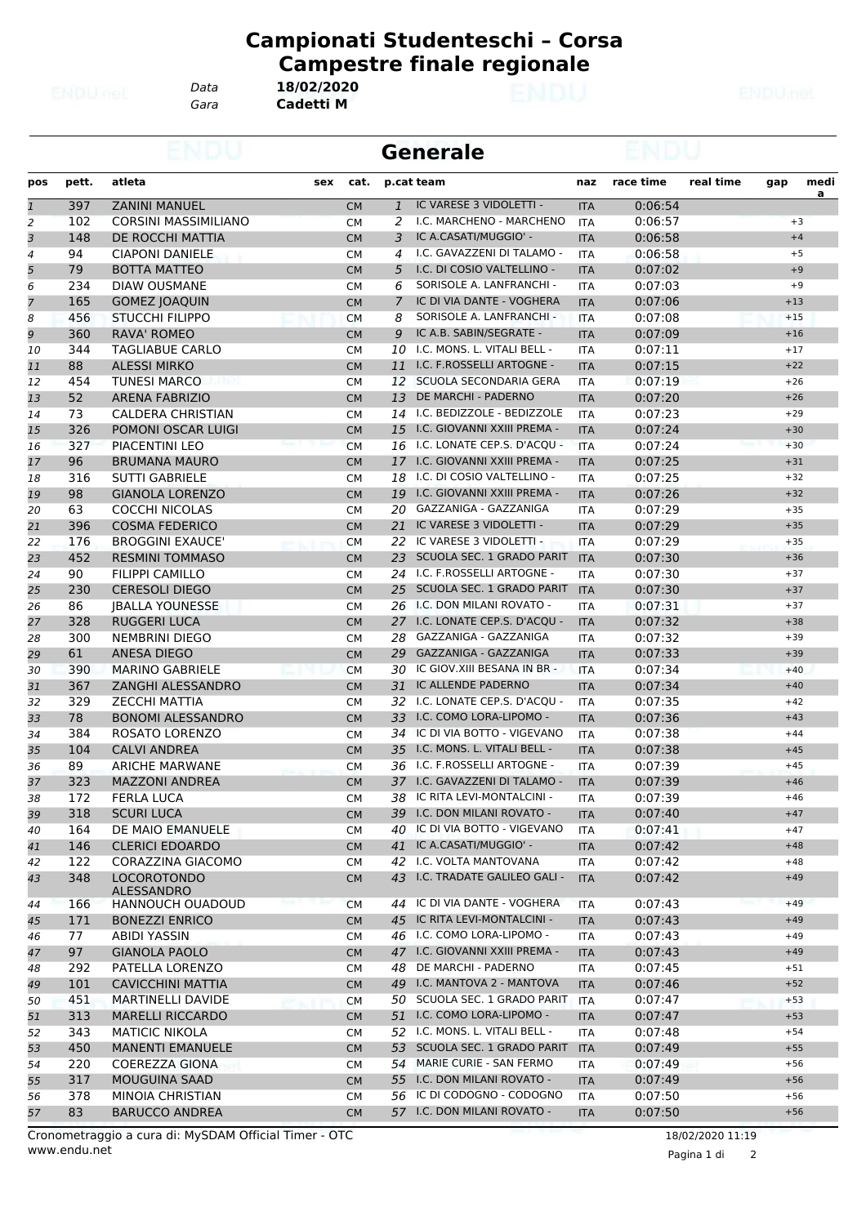*Data* **18/02/2020**

**Campionati Studenteschi – Corsa Campestre finale regionale**

*Gara* **Cadetti M**

|                |       |                                         |     |           |              | <b>Generale</b>                |            |           |           |       |                  |  |
|----------------|-------|-----------------------------------------|-----|-----------|--------------|--------------------------------|------------|-----------|-----------|-------|------------------|--|
| pos            | pett. | atleta                                  | sex | cat.      |              | p.cat team                     | naz        | race time | real time | gap   | medi<br><u>a</u> |  |
| $\overline{1}$ | 397   | <b>ZANINI MANUEL</b>                    |     | <b>CM</b> | $\mathbf{1}$ | IC VARESE 3 VIDOLETTI -        | <b>ITA</b> | 0:06:54   |           |       |                  |  |
| 2              | 102   | <b>CORSINI MASSIMILIANO</b>             |     | <b>CM</b> | 2            | I.C. MARCHENO - MARCHENO       | <b>ITA</b> | 0:06:57   |           |       | $+3$             |  |
| 3              | 148   | DE ROCCHI MATTIA                        |     | <b>CM</b> | 3            | IC A.CASATI/MUGGIO' -          | <b>ITA</b> | 0:06:58   |           |       | $+4$             |  |
| 4              | 94    | <b>CIAPONI DANIELE</b>                  |     | СM        | 4            | I.C. GAVAZZENI DI TALAMO -     | <b>ITA</b> | 0:06:58   |           |       | $+5$             |  |
| 5              | 79    | <b>BOTTA MATTEO</b>                     |     | <b>CM</b> | 5            | I.C. DI COSIO VALTELLINO -     | <b>ITA</b> | 0:07:02   |           |       | $+9$             |  |
| 6              | 234   | <b>DIAW OUSMANE</b>                     |     | <b>CM</b> | 6            | SORISOLE A. LANFRANCHI -       | <b>ITA</b> | 0:07:03   |           |       | $+9$             |  |
| $\overline{7}$ | 165   | <b>GOMEZ JOAQUIN</b>                    |     | <b>CM</b> | 7            | IC DI VIA DANTE - VOGHERA      | <b>ITA</b> | 0:07:06   |           | $+13$ |                  |  |
| 8              | 456   | <b>STUCCHI FILIPPO</b>                  |     | <b>CM</b> | 8            | SORISOLE A. LANFRANCHI -       | <b>ITA</b> | 0:07:08   |           | $+15$ |                  |  |
| 9              | 360   | <b>RAVA' ROMEO</b>                      |     | <b>CM</b> | 9            | IC A.B. SABIN/SEGRATE -        | <b>ITA</b> | 0:07:09   |           | $+16$ |                  |  |
| 10             | 344   | <b>TAGLIABUE CARLO</b>                  |     | СM        | 10           | I.C. MONS. L. VITALI BELL -    | ITA        | 0:07:11   |           | $+17$ |                  |  |
| 11             | 88    | <b>ALESSI MIRKO</b>                     |     | <b>CM</b> | 11           | I.C. F.ROSSELLI ARTOGNE -      | <b>ITA</b> | 0:07:15   |           | $+22$ |                  |  |
| 12             | 454   | <b>TUNESI MARCO</b>                     |     | <b>CM</b> | 12           | SCUOLA SECONDARIA GERA         | <b>ITA</b> | 0:07:19   |           | $+26$ |                  |  |
| 13             | 52    | <b>ARENA FABRIZIO</b>                   |     | <b>CM</b> | 13           | DE MARCHI - PADERNO            | <b>ITA</b> | 0:07:20   |           | $+26$ |                  |  |
| 14             | 73    | CALDERA CHRISTIAN                       |     | <b>CM</b> | 14           | I.C. BEDIZZOLE - BEDIZZOLE     | <b>ITA</b> | 0:07:23   |           | $+29$ |                  |  |
| 15             | 326   | <b>POMONI OSCAR LUIGI</b>               |     | <b>CM</b> | 15           | I.C. GIOVANNI XXIII PREMA -    | <b>ITA</b> | 0:07:24   |           | $+30$ |                  |  |
| 16             | 327   | PIACENTINI LEO                          |     | <b>CM</b> |              | 16 I.C. LONATE CEP.S. D'ACQU - | <b>ITA</b> | 0:07:24   |           | $+30$ |                  |  |
| 17             | 96    | <b>BRUMANA MAURO</b>                    |     | <b>CM</b> | 17           | I.C. GIOVANNI XXIII PREMA -    | <b>ITA</b> | 0:07:25   |           | $+31$ |                  |  |
| 18             | 316   | <b>SUTTI GABRIELE</b>                   |     | <b>CM</b> | 18           | I.C. DI COSIO VALTELLINO -     | <b>ITA</b> | 0:07:25   |           | $+32$ |                  |  |
| 19             | 98    | <b>GIANOLA LORENZO</b>                  |     | <b>CM</b> | 19           | I.C. GIOVANNI XXIII PREMA -    | <b>ITA</b> | 0:07:26   |           | $+32$ |                  |  |
| 20             | 63    | <b>COCCHI NICOLAS</b>                   |     | <b>CM</b> | 20           | GAZZANIGA - GAZZANIGA          | <b>ITA</b> | 0:07:29   |           | $+35$ |                  |  |
| 21             | 396   | <b>COSMA FEDERICO</b>                   |     | <b>CM</b> | 21           | IC VARESE 3 VIDOLETTI -        | <b>ITA</b> | 0:07:29   |           | $+35$ |                  |  |
| 22             | 176   | <b>BROGGINI EXAUCE'</b>                 |     | <b>CM</b> |              | 22 IC VARESE 3 VIDOLETTI -     | <b>ITA</b> | 0:07:29   |           | $+35$ |                  |  |
| 23             | 452   | <b>RESMINI TOMMASO</b>                  |     | <b>CM</b> | 23           | SCUOLA SEC. 1 GRADO PARIT      | <b>ITA</b> | 0:07:30   |           | $+36$ |                  |  |
| 24             | 90    | <b>FILIPPI CAMILLO</b>                  |     | <b>CM</b> |              | 24 I.C. F.ROSSELLI ARTOGNE -   | <b>ITA</b> | 0:07:30   |           | $+37$ |                  |  |
| 25             | 230   | <b>CERESOLI DIEGO</b>                   |     | <b>CM</b> |              | 25 SCUOLA SEC. 1 GRADO PARIT   | <b>ITA</b> | 0:07:30   |           | $+37$ |                  |  |
| 26             | 86    | <b>IBALLA YOUNESSE</b>                  |     | <b>CM</b> |              | 26 I.C. DON MILANI ROVATO -    | <b>ITA</b> | 0:07:31   |           | $+37$ |                  |  |
| 27             | 328   | <b>RUGGERI LUCA</b>                     |     | <b>CM</b> |              | 27 I.C. LONATE CEP.S. D'ACQU - | <b>ITA</b> | 0:07:32   |           | $+38$ |                  |  |
| 28             | 300   | <b>NEMBRINI DIEGO</b>                   |     | <b>CM</b> | 28           | GAZZANIGA - GAZZANIGA          | <b>ITA</b> | 0:07:32   |           | $+39$ |                  |  |
| 29             | 61    | ANESA DIEGO                             |     | <b>CM</b> | 29           | GAZZANIGA - GAZZANIGA          | <b>ITA</b> | 0:07:33   |           | $+39$ |                  |  |
| 30             | 390   | <b>MARINO GABRIELE</b>                  |     | <b>CM</b> | 30           | IC GIOV. XIII BESANA IN BR -   | <b>ITA</b> | 0:07:34   |           | $+40$ |                  |  |
| 31             | 367   | ZANGHI ALESSANDRO                       |     | <b>CM</b> | 31           | IC ALLENDE PADERNO             | <b>ITA</b> | 0:07:34   |           | $+40$ |                  |  |
| 32             | 329   | <b>ZECCHI MATTIA</b>                    |     | <b>CM</b> |              | 32 I.C. LONATE CEP.S. D'ACQU - | <b>ITA</b> | 0:07:35   |           | $+42$ |                  |  |
| 33             | 78    |                                         |     |           |              | 33 I.C. COMO LORA-LIPOMO -     |            |           |           | $+43$ |                  |  |
|                |       | <b>BONOMI ALESSANDRO</b>                |     | <b>CM</b> |              | IC DI VIA BOTTO - VIGEVANO     | <b>ITA</b> | 0:07:36   |           |       |                  |  |
| 34             | 384   | ROSATO LORENZO                          |     | СM        | 34           | I.C. MONS. L. VITALI BELL -    | ITA        | 0:07:38   |           | $+44$ |                  |  |
| 35             | 104   | <b>CALVI ANDREA</b>                     |     | <b>CM</b> | 35           | I.C. F.ROSSELLI ARTOGNE -      | <b>ITA</b> | 0:07:38   |           | $+45$ |                  |  |
| 36             | 89    | <b>ARICHE MARWANE</b>                   |     | СM        | 36           |                                | ITA        | 0:07:39   |           | $+45$ |                  |  |
| 37             | 323   | <b>MAZZONI ANDREA</b>                   |     | <b>CM</b> |              | 37 I.C. GAVAZZENI DI TALAMO -  | <b>ITA</b> | 0:07:39   |           | $+46$ |                  |  |
| 38             | 172   | FERLA LUCA                              |     | СM        | 38           | IC RITA LEVI-MONTALCINI -      | ITA        | 0:07:39   |           | $+46$ |                  |  |
| 39             | 318   | <b>SCURI LUCA</b>                       |     | <b>CM</b> |              | 39 I.C. DON MILANI ROVATO -    | <b>ITA</b> | 0:07:40   |           | $+47$ |                  |  |
| 40             | 164   | DE MAIO EMANUELE                        |     | <b>CM</b> |              | 40 IC DI VIA BOTTO - VIGEVANO  | ITA        | 0:07:41   |           | $+47$ |                  |  |
| 41             | 146   | <b>CLERICI EDOARDO</b>                  |     | <b>CM</b> | 41           | IC A.CASATI/MUGGIO' -          | <b>ITA</b> | 0:07:42   |           | $+48$ |                  |  |
| 42             | 122   | CORAZZINA GIACOMO                       |     | CМ        |              | 42 I.C. VOLTA MANTOVANA        | ITA        | 0:07:42   |           | $+48$ |                  |  |
| 43             | 348   | <b>LOCOROTONDO</b><br><b>ALESSANDRO</b> |     | <b>CM</b> | 43           | I.C. TRADATE GALILEO GALI -    | <b>ITA</b> | 0:07:42   |           | $+49$ |                  |  |
| 44             | 166   | <b>HANNOUCH OUADOUD</b>                 |     | <b>CM</b> | 44           | IC DI VIA DANTE - VOGHERA      | <b>ITA</b> | 0:07:43   |           | $+49$ |                  |  |
| 45             | 171   | <b>BONEZZI ENRICO</b>                   |     | <b>CM</b> |              | 45 IC RITA LEVI-MONTALCINI -   | <b>ITA</b> | 0:07:43   |           | $+49$ |                  |  |
| 46             | 77    | ABIDI YASSIN                            |     | СM        |              | 46 I.C. COMO LORA-LIPOMO -     | ITA        | 0:07:43   |           | $+49$ |                  |  |
| 47             | 97    | <b>GIANOLA PAOLO</b>                    |     | <b>CM</b> |              | 47 I.C. GIOVANNI XXIII PREMA - | <b>ITA</b> | 0:07:43   |           | $+49$ |                  |  |
| 48             | 292   | PATELLA LORENZO                         |     | <b>CM</b> | 48           | DE MARCHI - PADERNO            | ITA        | 0:07:45   |           | $+51$ |                  |  |
| 49             | 101   | <b>CAVICCHINI MATTIA</b>                |     | <b>CM</b> | 49           | I.C. MANTOVA 2 - MANTOVA       | <b>ITA</b> | 0:07:46   |           | $+52$ |                  |  |
| 50             | 451   | <b>MARTINELLI DAVIDE</b>                |     | <b>CM</b> |              | 50 SCUOLA SEC. 1 GRADO PARIT   | ITA        | 0:07:47   |           | $+53$ |                  |  |
| 51             | 313   | <b>MARELLI RICCARDO</b>                 |     | <b>CM</b> |              | 51 I.C. COMO LORA-LIPOMO -     | <b>ITA</b> | 0:07:47   |           | $+53$ |                  |  |
| 52             | 343   | <b>MATICIC NIKOLA</b>                   |     | СM        |              | 52 I.C. MONS. L. VITALI BELL - | ITA        | 0:07:48   |           | $+54$ |                  |  |
| 53             | 450   | <b>MANENTI EMANUELE</b>                 |     | <b>CM</b> |              | 53 SCUOLA SEC. 1 GRADO PARIT   | <b>ITA</b> | 0:07:49   |           | $+55$ |                  |  |
| 54             | 220   | COEREZZA GIONA                          |     | <b>CM</b> |              | 54 MARIE CURIE - SAN FERMO     | ITA        | 0:07:49   |           | $+56$ |                  |  |
| 55             | 317   | <b>MOUGUINA SAAD</b>                    |     | <b>CM</b> |              | 55 I.C. DON MILANI ROVATO -    | <b>ITA</b> | 0:07:49   |           | $+56$ |                  |  |
| 56             | 378   | MINOIA CHRISTIAN                        |     | СM        |              | 56 IC DI CODOGNO - CODOGNO     | <b>ITA</b> | 0:07:50   |           | $+56$ |                  |  |
| 57             | 83    | <b>BARUCCO ANDREA</b>                   |     | <b>CM</b> |              | 57 I.C. DON MILANI ROVATO -    | <b>ITA</b> | 0:07:50   |           | $+56$ |                  |  |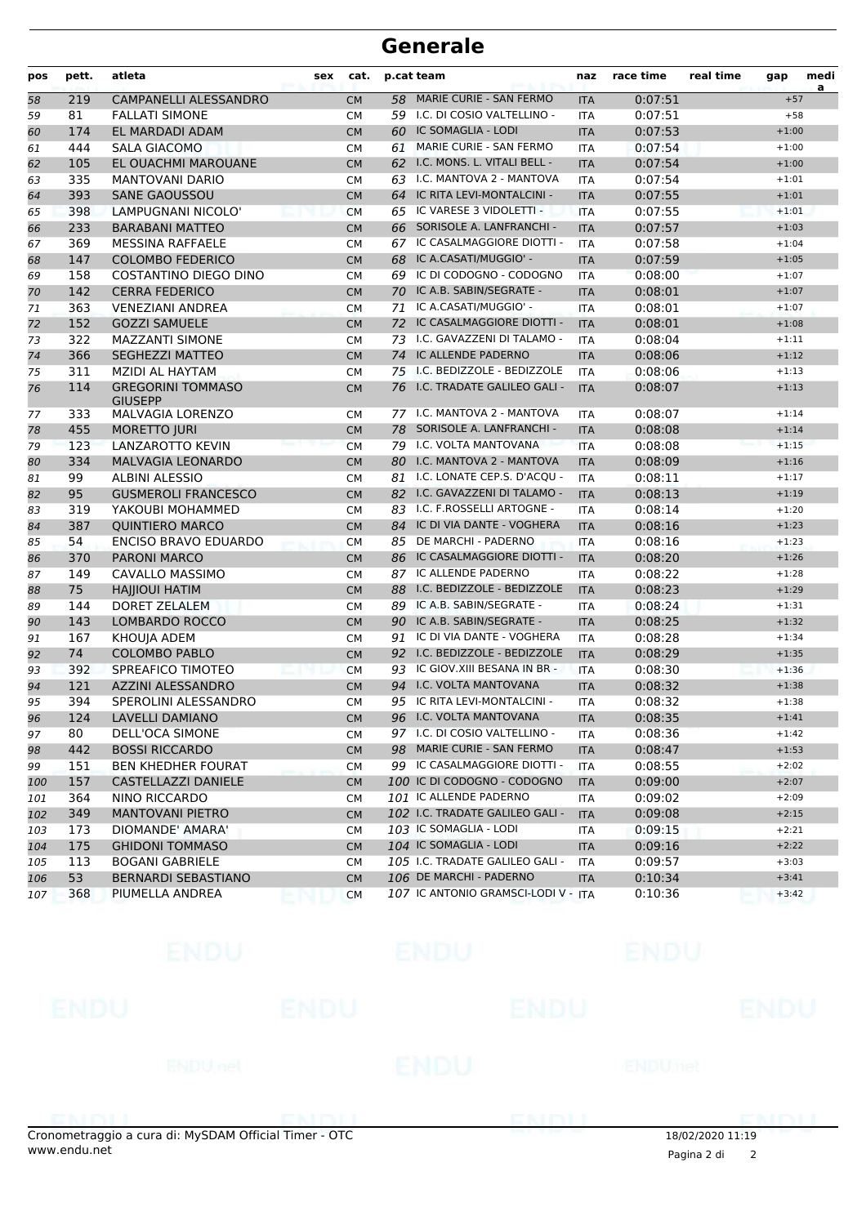| a<br>MARIE CURIE - SAN FERMO<br>219<br>CAMPANELLI ALESSANDRO<br>58<br>0:07:51<br>$+57$<br><b>CM</b><br>58<br><b>ITA</b><br>59 I.C. DI COSIO VALTELLINO -<br>81<br>0:07:51<br>59<br><b>FALLATI SIMONE</b><br>$+58$<br><b>CM</b><br><b>ITA</b><br>174<br>EL MARDADI ADAM<br>IC SOMAGLIA - LODI<br>0:07:53<br><b>CM</b><br>60<br><b>ITA</b><br>$+1:00$<br>60<br>MARIE CURIE - SAN FERMO<br>444<br><b>SALA GIACOMO</b><br>0:07:54<br>$+1:00$<br>61<br>61<br><b>CM</b><br><b>ITA</b><br>I.C. MONS. L. VITALI BELL -<br>105<br>EL OUACHMI MAROUANE<br>0:07:54<br><b>CM</b><br>62<br><b>ITA</b><br>$+1:00$<br>62<br>335<br>63 I.C. MANTOVA 2 - MANTOVA<br>0:07:54<br><b>MANTOVANI DARIO</b><br><b>CM</b><br><b>ITA</b><br>$+1:01$<br>63<br>IC RITA LEVI-MONTALCINI -<br>393<br><b>SANE GAOUSSOU</b><br>64<br>0:07:55<br>$+1:01$<br><b>ITA</b><br>64<br><b>CM</b><br>IC VARESE 3 VIDOLETTI -<br>398<br>LAMPUGNANI NICOLO'<br>0:07:55<br>65<br><b>ITA</b><br>$+1:01$<br>65<br><b>CM</b><br>233<br>SORISOLE A. LANFRANCHI -<br>0:07:57<br><b>BARABANI MATTEO</b><br><b>CM</b><br>66<br><b>ITA</b><br>$+1:03$<br>66<br>IC CASALMAGGIORE DIOTTI -<br>369<br><b>MESSINA RAFFAELE</b><br>0:07:58<br>$+1:04$<br>67<br><b>ITA</b><br>67<br><b>CM</b><br>IC A.CASATI/MUGGIO' -<br>147<br><b>COLOMBO FEDERICO</b><br>68<br>0:07:59<br><b>CM</b><br><b>ITA</b><br>$+1:05$<br>68<br>158<br>IC DI CODOGNO - CODOGNO<br>0:08:00<br>COSTANTINO DIEGO DINO<br><b>CM</b><br>69<br><b>ITA</b><br>$+1:07$<br>69<br>IC A.B. SABIN/SEGRATE -<br>142<br><b>CERRA FEDERICO</b><br>70<br>0:08:01<br>$+1:07$<br><b>ITA</b><br>70<br><b>CM</b><br>363<br>IC A.CASATI/MUGGIO' -<br>0:08:01<br>71<br><b>VENEZIANI ANDREA</b><br>71<br><b>ITA</b><br>$+1:07$<br><b>CM</b><br>152<br><b>GOZZI SAMUELE</b><br>IC CASALMAGGIORE DIOTTI -<br>0:08:01<br>72<br>72<br><b>CM</b><br><b>ITA</b><br>$+1:08$<br>I.C. GAVAZZENI DI TALAMO -<br>322<br><b>MAZZANTI SIMONE</b><br>0:08:04<br>$+1:11$<br>73<br>73<br><b>CM</b><br><b>ITA</b><br>366<br><b>SEGHEZZI MATTEO</b><br>74 IC ALLENDE PADERNO<br>0:08:06<br>74<br><b>CM</b><br>$+1:12$<br><b>ITA</b><br>311<br>75 I.C. BEDIZZOLE - BEDIZZOLE<br>MZIDI AL HAYTAM<br>0:08:06<br>$+1:13$<br>75<br><b>CM</b><br><b>ITA</b><br>I.C. TRADATE GALILEO GALI -<br>114<br><b>GREGORINI TOMMASO</b><br>76<br>0:08:07<br>$+1:13$<br>76<br><b>CM</b><br><b>ITA</b><br><b>GIUSEPP</b><br>77 I.C. MANTOVA 2 - MANTOVA<br>333<br><b>MALVAGIA LORENZO</b><br>0:08:07<br>$+1:14$<br>77<br><b>CM</b><br>ITA<br>455<br>78 SORISOLE A. LANFRANCHI -<br><b>MORETTO JURI</b><br><b>CM</b><br>0:08:08<br>78<br><b>ITA</b><br>$+1:14$<br>123<br>I.C. VOLTA MANTOVANA<br>0:08:08<br>LANZAROTTO KEVIN<br>79<br>$+1:15$<br>79<br><b>CM</b><br><b>ITA</b><br>I.C. MANTOVA 2 - MANTOVA<br>334<br>MALVAGIA LEONARDO<br>0:08:09<br>$+1:16$<br>80<br>80<br><b>CM</b><br><b>ITA</b><br>99<br>I.C. LONATE CEP.S. D'ACOU -<br>0:08:11<br>81<br>ALBINI ALESSIO<br>$+1:17$<br><b>CM</b><br>81<br><b>ITA</b><br>95<br>I.C. GAVAZZENI DI TALAMO -<br>0:08:13<br><b>GUSMEROLI FRANCESCO</b><br>82<br>$+1:19$<br>82<br><b>CM</b><br><b>ITA</b><br>I.C. F.ROSSELLI ARTOGNE -<br>319<br>YAKOUBI MOHAMMED<br>83<br>0:08:14<br>$+1:20$<br>83<br><b>CM</b><br><b>ITA</b><br>387<br><b>QUINTIERO MARCO</b><br>84 IC DI VIA DANTE - VOGHERA<br>0:08:16<br><b>CM</b><br><b>ITA</b><br>$+1:23$<br>54<br>ENCISO BRAVO EDUARDO<br>DE MARCHI - PADERNO<br>0:08:16<br>$+1:23$<br>85<br><b>CM</b><br>85<br><b>ITA</b><br>IC CASALMAGGIORE DIOTTI -<br><b>PARONI MARCO</b><br>0:08:20<br>$+1:26$<br>370<br>86<br><b>ITA</b><br>86<br><b>CM</b><br>IC ALLENDE PADERNO<br>0:08:22<br>87<br>149<br>CAVALLO MASSIMO<br>87<br>$+1:28$<br><b>CM</b><br><b>ITA</b><br>75<br>I.C. BEDIZZOLE - BEDIZZOLE<br>0:08:23<br><b>HAIIIOUI HATIM</b><br>88<br>$+1:29$<br><b>CM</b><br><b>ITA</b><br>88<br>IC A.B. SABIN/SEGRATE -<br>144<br><b>DORET ZELALEM</b><br>89<br>0:08:24<br>$+1:31$<br>89<br><b>CM</b><br><b>ITA</b><br>143<br>LOMBARDO ROCCO<br>90 IC A.B. SABIN/SEGRATE -<br>0:08:25<br><b>CM</b><br><b>ITA</b><br>$+1:32$<br>90<br>167<br>0:08:28<br>KHOUJA ADEM<br>91<br>IC DI VIA DANTE - VOGHERA<br>$+1:34$<br>91<br><b>CM</b><br><b>ITA</b><br>I.C. BEDIZZOLE - BEDIZZOLE<br>74<br><b>COLOMBO PABLO</b><br>0:08:29<br>92<br>$+1:35$<br>92<br><b>CM</b><br><b>ITA</b><br>IC GIOV. XIII BESANA IN BR-<br>0:08:30<br>93<br>392<br>SPREAFICO TIMOTEO<br>$+1:36$<br><b>CM</b><br>93.<br><b>ITA</b><br>94 I.C. VOLTA MANTOVANA<br>121<br><b>AZZINI ALESSANDRO</b><br>0:08:32<br>$+1:38$<br><b>CM</b><br><b>ITA</b><br>94<br>95 IC RITA LEVI-MONTALCINI -<br>394<br>SPEROLINI ALESSANDRO<br>0:08:32<br>95<br><b>CM</b><br><b>ITA</b><br>$+1:38$<br>124<br>0:08:35<br>96<br>LAVELLI DAMIANO<br>96 I.C. VOLTA MANTOVANA<br><b>ITA</b><br>$+1:41$<br>${\sf CM}$<br>97 I.C. DI COSIO VALTELLINO -<br>80<br>DELL'OCA SIMONE<br>0:08:36<br>$+1:42$<br>97<br>CM<br>ITA<br>98 MARIE CURIE - SAN FERMO<br>442<br>0:08:47<br><b>BOSSI RICCARDO</b><br>$+1:53$<br><b>CM</b><br><b>ITA</b><br>98<br>99 IC CASALMAGGIORE DIOTTI -<br>$+2:02$<br>99<br>151<br><b>BEN KHEDHER FOURAT</b><br><b>CM</b><br>ITA<br>0:08:55<br>100 IC DI CODOGNO - CODOGNO<br>157<br>CASTELLAZZI DANIELE<br>0:09:00<br>$+2:07$<br><b>CM</b><br><b>ITA</b><br>100<br>101 IC ALLENDE PADERNO<br>364<br>NINO RICCARDO<br>0:09:02<br>$+2:09$<br>101<br>CM<br>ITA<br>349<br><b>MANTOVANI PIETRO</b><br>102 I.C. TRADATE GALILEO GALI -<br><b>CM</b><br><b>ITA</b><br>0:09:08<br>$+2:15$<br>102<br>103 IC SOMAGLIA - LODI<br>173<br>DIOMANDE' AMARA'<br>0:09:15<br>$+2:21$<br>103<br><b>CM</b><br>ITA<br>104 IC SOMAGLIA - LODI<br>175<br><b>GHIDONI TOMMASO</b><br>0:09:16<br><b>ITA</b><br>$+2:22$<br>104<br><b>CM</b><br>105 I.C. TRADATE GALILEO GALI -<br>$+3:03$<br>105<br>113<br><b>BOGANI GABRIELE</b><br><b>CM</b><br>ITA<br>0:09:57<br>106 DE MARCHI - PADERNO<br>53<br><b>BERNARDI SEBASTIANO</b><br>CM<br>0:10:34<br>$+3:41$<br>106<br><b>ITA</b><br>107 IC ANTONIO GRAMSCI-LODI V - ITA<br>368<br>PIUMELLA ANDREA<br>$+3:42$<br><b>CM</b><br>0:10:36<br>107 | pos | pett. | atleta | sex | cat. | p.cat team | naz | race time | real time | gap | medi |
|----------------------------------------------------------------------------------------------------------------------------------------------------------------------------------------------------------------------------------------------------------------------------------------------------------------------------------------------------------------------------------------------------------------------------------------------------------------------------------------------------------------------------------------------------------------------------------------------------------------------------------------------------------------------------------------------------------------------------------------------------------------------------------------------------------------------------------------------------------------------------------------------------------------------------------------------------------------------------------------------------------------------------------------------------------------------------------------------------------------------------------------------------------------------------------------------------------------------------------------------------------------------------------------------------------------------------------------------------------------------------------------------------------------------------------------------------------------------------------------------------------------------------------------------------------------------------------------------------------------------------------------------------------------------------------------------------------------------------------------------------------------------------------------------------------------------------------------------------------------------------------------------------------------------------------------------------------------------------------------------------------------------------------------------------------------------------------------------------------------------------------------------------------------------------------------------------------------------------------------------------------------------------------------------------------------------------------------------------------------------------------------------------------------------------------------------------------------------------------------------------------------------------------------------------------------------------------------------------------------------------------------------------------------------------------------------------------------------------------------------------------------------------------------------------------------------------------------------------------------------------------------------------------------------------------------------------------------------------------------------------------------------------------------------------------------------------------------------------------------------------------------------------------------------------------------------------------------------------------------------------------------------------------------------------------------------------------------------------------------------------------------------------------------------------------------------------------------------------------------------------------------------------------------------------------------------------------------------------------------------------------------------------------------------------------------------------------------------------------------------------------------------------------------------------------------------------------------------------------------------------------------------------------------------------------------------------------------------------------------------------------------------------------------------------------------------------------------------------------------------------------------------------------------------------------------------------------------------------------------------------------------------------------------------------------------------------------------------------------------------------------------------------------------------------------------------------------------------------------------------------------------------------------------------------------------------------------------------------------------------------------------------------------------------------------------------------------------------------------------------------------------------------------------------------------------------------------------------------------------------------------------------------------------------------------------------------------------------------------------------------------------------------------------------------------------------------------------------------------------------------------------------------------------------------------------------------------------------------------------------------------------------------------------------------------------------------------------------------------------------------------------------------------------------------------------------------------------------------------------------------------------------------------------------------------------------------------------------------------------------------------------------------------------------------------------------------------------------------------------------------------------------------------------------------------------------------------------------------------------------------------------------------------------------------------------------------------------------------------------------------------------------------------------------------------------------|-----|-------|--------|-----|------|------------|-----|-----------|-----------|-----|------|
|                                                                                                                                                                                                                                                                                                                                                                                                                                                                                                                                                                                                                                                                                                                                                                                                                                                                                                                                                                                                                                                                                                                                                                                                                                                                                                                                                                                                                                                                                                                                                                                                                                                                                                                                                                                                                                                                                                                                                                                                                                                                                                                                                                                                                                                                                                                                                                                                                                                                                                                                                                                                                                                                                                                                                                                                                                                                                                                                                                                                                                                                                                                                                                                                                                                                                                                                                                                                                                                                                                                                                                                                                                                                                                                                                                                                                                                                                                                                                                                                                                                                                                                                                                                                                                                                                                                                                                                                                                                                                                                                                                                                                                                                                                                                                                                                                                                                                                                                                                                                                                                                                                                                                                                                                                                                                                                                                                                                                                                                                                                                                                                                                                                                                                                                                                                                                                                                                                                                                                                                                                                                      |     |       |        |     |      |            |     |           |           |     |      |
|                                                                                                                                                                                                                                                                                                                                                                                                                                                                                                                                                                                                                                                                                                                                                                                                                                                                                                                                                                                                                                                                                                                                                                                                                                                                                                                                                                                                                                                                                                                                                                                                                                                                                                                                                                                                                                                                                                                                                                                                                                                                                                                                                                                                                                                                                                                                                                                                                                                                                                                                                                                                                                                                                                                                                                                                                                                                                                                                                                                                                                                                                                                                                                                                                                                                                                                                                                                                                                                                                                                                                                                                                                                                                                                                                                                                                                                                                                                                                                                                                                                                                                                                                                                                                                                                                                                                                                                                                                                                                                                                                                                                                                                                                                                                                                                                                                                                                                                                                                                                                                                                                                                                                                                                                                                                                                                                                                                                                                                                                                                                                                                                                                                                                                                                                                                                                                                                                                                                                                                                                                                                      |     |       |        |     |      |            |     |           |           |     |      |
|                                                                                                                                                                                                                                                                                                                                                                                                                                                                                                                                                                                                                                                                                                                                                                                                                                                                                                                                                                                                                                                                                                                                                                                                                                                                                                                                                                                                                                                                                                                                                                                                                                                                                                                                                                                                                                                                                                                                                                                                                                                                                                                                                                                                                                                                                                                                                                                                                                                                                                                                                                                                                                                                                                                                                                                                                                                                                                                                                                                                                                                                                                                                                                                                                                                                                                                                                                                                                                                                                                                                                                                                                                                                                                                                                                                                                                                                                                                                                                                                                                                                                                                                                                                                                                                                                                                                                                                                                                                                                                                                                                                                                                                                                                                                                                                                                                                                                                                                                                                                                                                                                                                                                                                                                                                                                                                                                                                                                                                                                                                                                                                                                                                                                                                                                                                                                                                                                                                                                                                                                                                                      |     |       |        |     |      |            |     |           |           |     |      |
|                                                                                                                                                                                                                                                                                                                                                                                                                                                                                                                                                                                                                                                                                                                                                                                                                                                                                                                                                                                                                                                                                                                                                                                                                                                                                                                                                                                                                                                                                                                                                                                                                                                                                                                                                                                                                                                                                                                                                                                                                                                                                                                                                                                                                                                                                                                                                                                                                                                                                                                                                                                                                                                                                                                                                                                                                                                                                                                                                                                                                                                                                                                                                                                                                                                                                                                                                                                                                                                                                                                                                                                                                                                                                                                                                                                                                                                                                                                                                                                                                                                                                                                                                                                                                                                                                                                                                                                                                                                                                                                                                                                                                                                                                                                                                                                                                                                                                                                                                                                                                                                                                                                                                                                                                                                                                                                                                                                                                                                                                                                                                                                                                                                                                                                                                                                                                                                                                                                                                                                                                                                                      |     |       |        |     |      |            |     |           |           |     |      |
|                                                                                                                                                                                                                                                                                                                                                                                                                                                                                                                                                                                                                                                                                                                                                                                                                                                                                                                                                                                                                                                                                                                                                                                                                                                                                                                                                                                                                                                                                                                                                                                                                                                                                                                                                                                                                                                                                                                                                                                                                                                                                                                                                                                                                                                                                                                                                                                                                                                                                                                                                                                                                                                                                                                                                                                                                                                                                                                                                                                                                                                                                                                                                                                                                                                                                                                                                                                                                                                                                                                                                                                                                                                                                                                                                                                                                                                                                                                                                                                                                                                                                                                                                                                                                                                                                                                                                                                                                                                                                                                                                                                                                                                                                                                                                                                                                                                                                                                                                                                                                                                                                                                                                                                                                                                                                                                                                                                                                                                                                                                                                                                                                                                                                                                                                                                                                                                                                                                                                                                                                                                                      |     |       |        |     |      |            |     |           |           |     |      |
|                                                                                                                                                                                                                                                                                                                                                                                                                                                                                                                                                                                                                                                                                                                                                                                                                                                                                                                                                                                                                                                                                                                                                                                                                                                                                                                                                                                                                                                                                                                                                                                                                                                                                                                                                                                                                                                                                                                                                                                                                                                                                                                                                                                                                                                                                                                                                                                                                                                                                                                                                                                                                                                                                                                                                                                                                                                                                                                                                                                                                                                                                                                                                                                                                                                                                                                                                                                                                                                                                                                                                                                                                                                                                                                                                                                                                                                                                                                                                                                                                                                                                                                                                                                                                                                                                                                                                                                                                                                                                                                                                                                                                                                                                                                                                                                                                                                                                                                                                                                                                                                                                                                                                                                                                                                                                                                                                                                                                                                                                                                                                                                                                                                                                                                                                                                                                                                                                                                                                                                                                                                                      |     |       |        |     |      |            |     |           |           |     |      |
|                                                                                                                                                                                                                                                                                                                                                                                                                                                                                                                                                                                                                                                                                                                                                                                                                                                                                                                                                                                                                                                                                                                                                                                                                                                                                                                                                                                                                                                                                                                                                                                                                                                                                                                                                                                                                                                                                                                                                                                                                                                                                                                                                                                                                                                                                                                                                                                                                                                                                                                                                                                                                                                                                                                                                                                                                                                                                                                                                                                                                                                                                                                                                                                                                                                                                                                                                                                                                                                                                                                                                                                                                                                                                                                                                                                                                                                                                                                                                                                                                                                                                                                                                                                                                                                                                                                                                                                                                                                                                                                                                                                                                                                                                                                                                                                                                                                                                                                                                                                                                                                                                                                                                                                                                                                                                                                                                                                                                                                                                                                                                                                                                                                                                                                                                                                                                                                                                                                                                                                                                                                                      |     |       |        |     |      |            |     |           |           |     |      |
|                                                                                                                                                                                                                                                                                                                                                                                                                                                                                                                                                                                                                                                                                                                                                                                                                                                                                                                                                                                                                                                                                                                                                                                                                                                                                                                                                                                                                                                                                                                                                                                                                                                                                                                                                                                                                                                                                                                                                                                                                                                                                                                                                                                                                                                                                                                                                                                                                                                                                                                                                                                                                                                                                                                                                                                                                                                                                                                                                                                                                                                                                                                                                                                                                                                                                                                                                                                                                                                                                                                                                                                                                                                                                                                                                                                                                                                                                                                                                                                                                                                                                                                                                                                                                                                                                                                                                                                                                                                                                                                                                                                                                                                                                                                                                                                                                                                                                                                                                                                                                                                                                                                                                                                                                                                                                                                                                                                                                                                                                                                                                                                                                                                                                                                                                                                                                                                                                                                                                                                                                                                                      |     |       |        |     |      |            |     |           |           |     |      |
|                                                                                                                                                                                                                                                                                                                                                                                                                                                                                                                                                                                                                                                                                                                                                                                                                                                                                                                                                                                                                                                                                                                                                                                                                                                                                                                                                                                                                                                                                                                                                                                                                                                                                                                                                                                                                                                                                                                                                                                                                                                                                                                                                                                                                                                                                                                                                                                                                                                                                                                                                                                                                                                                                                                                                                                                                                                                                                                                                                                                                                                                                                                                                                                                                                                                                                                                                                                                                                                                                                                                                                                                                                                                                                                                                                                                                                                                                                                                                                                                                                                                                                                                                                                                                                                                                                                                                                                                                                                                                                                                                                                                                                                                                                                                                                                                                                                                                                                                                                                                                                                                                                                                                                                                                                                                                                                                                                                                                                                                                                                                                                                                                                                                                                                                                                                                                                                                                                                                                                                                                                                                      |     |       |        |     |      |            |     |           |           |     |      |
|                                                                                                                                                                                                                                                                                                                                                                                                                                                                                                                                                                                                                                                                                                                                                                                                                                                                                                                                                                                                                                                                                                                                                                                                                                                                                                                                                                                                                                                                                                                                                                                                                                                                                                                                                                                                                                                                                                                                                                                                                                                                                                                                                                                                                                                                                                                                                                                                                                                                                                                                                                                                                                                                                                                                                                                                                                                                                                                                                                                                                                                                                                                                                                                                                                                                                                                                                                                                                                                                                                                                                                                                                                                                                                                                                                                                                                                                                                                                                                                                                                                                                                                                                                                                                                                                                                                                                                                                                                                                                                                                                                                                                                                                                                                                                                                                                                                                                                                                                                                                                                                                                                                                                                                                                                                                                                                                                                                                                                                                                                                                                                                                                                                                                                                                                                                                                                                                                                                                                                                                                                                                      |     |       |        |     |      |            |     |           |           |     |      |
|                                                                                                                                                                                                                                                                                                                                                                                                                                                                                                                                                                                                                                                                                                                                                                                                                                                                                                                                                                                                                                                                                                                                                                                                                                                                                                                                                                                                                                                                                                                                                                                                                                                                                                                                                                                                                                                                                                                                                                                                                                                                                                                                                                                                                                                                                                                                                                                                                                                                                                                                                                                                                                                                                                                                                                                                                                                                                                                                                                                                                                                                                                                                                                                                                                                                                                                                                                                                                                                                                                                                                                                                                                                                                                                                                                                                                                                                                                                                                                                                                                                                                                                                                                                                                                                                                                                                                                                                                                                                                                                                                                                                                                                                                                                                                                                                                                                                                                                                                                                                                                                                                                                                                                                                                                                                                                                                                                                                                                                                                                                                                                                                                                                                                                                                                                                                                                                                                                                                                                                                                                                                      |     |       |        |     |      |            |     |           |           |     |      |
|                                                                                                                                                                                                                                                                                                                                                                                                                                                                                                                                                                                                                                                                                                                                                                                                                                                                                                                                                                                                                                                                                                                                                                                                                                                                                                                                                                                                                                                                                                                                                                                                                                                                                                                                                                                                                                                                                                                                                                                                                                                                                                                                                                                                                                                                                                                                                                                                                                                                                                                                                                                                                                                                                                                                                                                                                                                                                                                                                                                                                                                                                                                                                                                                                                                                                                                                                                                                                                                                                                                                                                                                                                                                                                                                                                                                                                                                                                                                                                                                                                                                                                                                                                                                                                                                                                                                                                                                                                                                                                                                                                                                                                                                                                                                                                                                                                                                                                                                                                                                                                                                                                                                                                                                                                                                                                                                                                                                                                                                                                                                                                                                                                                                                                                                                                                                                                                                                                                                                                                                                                                                      |     |       |        |     |      |            |     |           |           |     |      |
|                                                                                                                                                                                                                                                                                                                                                                                                                                                                                                                                                                                                                                                                                                                                                                                                                                                                                                                                                                                                                                                                                                                                                                                                                                                                                                                                                                                                                                                                                                                                                                                                                                                                                                                                                                                                                                                                                                                                                                                                                                                                                                                                                                                                                                                                                                                                                                                                                                                                                                                                                                                                                                                                                                                                                                                                                                                                                                                                                                                                                                                                                                                                                                                                                                                                                                                                                                                                                                                                                                                                                                                                                                                                                                                                                                                                                                                                                                                                                                                                                                                                                                                                                                                                                                                                                                                                                                                                                                                                                                                                                                                                                                                                                                                                                                                                                                                                                                                                                                                                                                                                                                                                                                                                                                                                                                                                                                                                                                                                                                                                                                                                                                                                                                                                                                                                                                                                                                                                                                                                                                                                      |     |       |        |     |      |            |     |           |           |     |      |
|                                                                                                                                                                                                                                                                                                                                                                                                                                                                                                                                                                                                                                                                                                                                                                                                                                                                                                                                                                                                                                                                                                                                                                                                                                                                                                                                                                                                                                                                                                                                                                                                                                                                                                                                                                                                                                                                                                                                                                                                                                                                                                                                                                                                                                                                                                                                                                                                                                                                                                                                                                                                                                                                                                                                                                                                                                                                                                                                                                                                                                                                                                                                                                                                                                                                                                                                                                                                                                                                                                                                                                                                                                                                                                                                                                                                                                                                                                                                                                                                                                                                                                                                                                                                                                                                                                                                                                                                                                                                                                                                                                                                                                                                                                                                                                                                                                                                                                                                                                                                                                                                                                                                                                                                                                                                                                                                                                                                                                                                                                                                                                                                                                                                                                                                                                                                                                                                                                                                                                                                                                                                      |     |       |        |     |      |            |     |           |           |     |      |
|                                                                                                                                                                                                                                                                                                                                                                                                                                                                                                                                                                                                                                                                                                                                                                                                                                                                                                                                                                                                                                                                                                                                                                                                                                                                                                                                                                                                                                                                                                                                                                                                                                                                                                                                                                                                                                                                                                                                                                                                                                                                                                                                                                                                                                                                                                                                                                                                                                                                                                                                                                                                                                                                                                                                                                                                                                                                                                                                                                                                                                                                                                                                                                                                                                                                                                                                                                                                                                                                                                                                                                                                                                                                                                                                                                                                                                                                                                                                                                                                                                                                                                                                                                                                                                                                                                                                                                                                                                                                                                                                                                                                                                                                                                                                                                                                                                                                                                                                                                                                                                                                                                                                                                                                                                                                                                                                                                                                                                                                                                                                                                                                                                                                                                                                                                                                                                                                                                                                                                                                                                                                      |     |       |        |     |      |            |     |           |           |     |      |
|                                                                                                                                                                                                                                                                                                                                                                                                                                                                                                                                                                                                                                                                                                                                                                                                                                                                                                                                                                                                                                                                                                                                                                                                                                                                                                                                                                                                                                                                                                                                                                                                                                                                                                                                                                                                                                                                                                                                                                                                                                                                                                                                                                                                                                                                                                                                                                                                                                                                                                                                                                                                                                                                                                                                                                                                                                                                                                                                                                                                                                                                                                                                                                                                                                                                                                                                                                                                                                                                                                                                                                                                                                                                                                                                                                                                                                                                                                                                                                                                                                                                                                                                                                                                                                                                                                                                                                                                                                                                                                                                                                                                                                                                                                                                                                                                                                                                                                                                                                                                                                                                                                                                                                                                                                                                                                                                                                                                                                                                                                                                                                                                                                                                                                                                                                                                                                                                                                                                                                                                                                                                      |     |       |        |     |      |            |     |           |           |     |      |
|                                                                                                                                                                                                                                                                                                                                                                                                                                                                                                                                                                                                                                                                                                                                                                                                                                                                                                                                                                                                                                                                                                                                                                                                                                                                                                                                                                                                                                                                                                                                                                                                                                                                                                                                                                                                                                                                                                                                                                                                                                                                                                                                                                                                                                                                                                                                                                                                                                                                                                                                                                                                                                                                                                                                                                                                                                                                                                                                                                                                                                                                                                                                                                                                                                                                                                                                                                                                                                                                                                                                                                                                                                                                                                                                                                                                                                                                                                                                                                                                                                                                                                                                                                                                                                                                                                                                                                                                                                                                                                                                                                                                                                                                                                                                                                                                                                                                                                                                                                                                                                                                                                                                                                                                                                                                                                                                                                                                                                                                                                                                                                                                                                                                                                                                                                                                                                                                                                                                                                                                                                                                      |     |       |        |     |      |            |     |           |           |     |      |
|                                                                                                                                                                                                                                                                                                                                                                                                                                                                                                                                                                                                                                                                                                                                                                                                                                                                                                                                                                                                                                                                                                                                                                                                                                                                                                                                                                                                                                                                                                                                                                                                                                                                                                                                                                                                                                                                                                                                                                                                                                                                                                                                                                                                                                                                                                                                                                                                                                                                                                                                                                                                                                                                                                                                                                                                                                                                                                                                                                                                                                                                                                                                                                                                                                                                                                                                                                                                                                                                                                                                                                                                                                                                                                                                                                                                                                                                                                                                                                                                                                                                                                                                                                                                                                                                                                                                                                                                                                                                                                                                                                                                                                                                                                                                                                                                                                                                                                                                                                                                                                                                                                                                                                                                                                                                                                                                                                                                                                                                                                                                                                                                                                                                                                                                                                                                                                                                                                                                                                                                                                                                      |     |       |        |     |      |            |     |           |           |     |      |
|                                                                                                                                                                                                                                                                                                                                                                                                                                                                                                                                                                                                                                                                                                                                                                                                                                                                                                                                                                                                                                                                                                                                                                                                                                                                                                                                                                                                                                                                                                                                                                                                                                                                                                                                                                                                                                                                                                                                                                                                                                                                                                                                                                                                                                                                                                                                                                                                                                                                                                                                                                                                                                                                                                                                                                                                                                                                                                                                                                                                                                                                                                                                                                                                                                                                                                                                                                                                                                                                                                                                                                                                                                                                                                                                                                                                                                                                                                                                                                                                                                                                                                                                                                                                                                                                                                                                                                                                                                                                                                                                                                                                                                                                                                                                                                                                                                                                                                                                                                                                                                                                                                                                                                                                                                                                                                                                                                                                                                                                                                                                                                                                                                                                                                                                                                                                                                                                                                                                                                                                                                                                      |     |       |        |     |      |            |     |           |           |     |      |
|                                                                                                                                                                                                                                                                                                                                                                                                                                                                                                                                                                                                                                                                                                                                                                                                                                                                                                                                                                                                                                                                                                                                                                                                                                                                                                                                                                                                                                                                                                                                                                                                                                                                                                                                                                                                                                                                                                                                                                                                                                                                                                                                                                                                                                                                                                                                                                                                                                                                                                                                                                                                                                                                                                                                                                                                                                                                                                                                                                                                                                                                                                                                                                                                                                                                                                                                                                                                                                                                                                                                                                                                                                                                                                                                                                                                                                                                                                                                                                                                                                                                                                                                                                                                                                                                                                                                                                                                                                                                                                                                                                                                                                                                                                                                                                                                                                                                                                                                                                                                                                                                                                                                                                                                                                                                                                                                                                                                                                                                                                                                                                                                                                                                                                                                                                                                                                                                                                                                                                                                                                                                      |     |       |        |     |      |            |     |           |           |     |      |
|                                                                                                                                                                                                                                                                                                                                                                                                                                                                                                                                                                                                                                                                                                                                                                                                                                                                                                                                                                                                                                                                                                                                                                                                                                                                                                                                                                                                                                                                                                                                                                                                                                                                                                                                                                                                                                                                                                                                                                                                                                                                                                                                                                                                                                                                                                                                                                                                                                                                                                                                                                                                                                                                                                                                                                                                                                                                                                                                                                                                                                                                                                                                                                                                                                                                                                                                                                                                                                                                                                                                                                                                                                                                                                                                                                                                                                                                                                                                                                                                                                                                                                                                                                                                                                                                                                                                                                                                                                                                                                                                                                                                                                                                                                                                                                                                                                                                                                                                                                                                                                                                                                                                                                                                                                                                                                                                                                                                                                                                                                                                                                                                                                                                                                                                                                                                                                                                                                                                                                                                                                                                      |     |       |        |     |      |            |     |           |           |     |      |
|                                                                                                                                                                                                                                                                                                                                                                                                                                                                                                                                                                                                                                                                                                                                                                                                                                                                                                                                                                                                                                                                                                                                                                                                                                                                                                                                                                                                                                                                                                                                                                                                                                                                                                                                                                                                                                                                                                                                                                                                                                                                                                                                                                                                                                                                                                                                                                                                                                                                                                                                                                                                                                                                                                                                                                                                                                                                                                                                                                                                                                                                                                                                                                                                                                                                                                                                                                                                                                                                                                                                                                                                                                                                                                                                                                                                                                                                                                                                                                                                                                                                                                                                                                                                                                                                                                                                                                                                                                                                                                                                                                                                                                                                                                                                                                                                                                                                                                                                                                                                                                                                                                                                                                                                                                                                                                                                                                                                                                                                                                                                                                                                                                                                                                                                                                                                                                                                                                                                                                                                                                                                      |     |       |        |     |      |            |     |           |           |     |      |
|                                                                                                                                                                                                                                                                                                                                                                                                                                                                                                                                                                                                                                                                                                                                                                                                                                                                                                                                                                                                                                                                                                                                                                                                                                                                                                                                                                                                                                                                                                                                                                                                                                                                                                                                                                                                                                                                                                                                                                                                                                                                                                                                                                                                                                                                                                                                                                                                                                                                                                                                                                                                                                                                                                                                                                                                                                                                                                                                                                                                                                                                                                                                                                                                                                                                                                                                                                                                                                                                                                                                                                                                                                                                                                                                                                                                                                                                                                                                                                                                                                                                                                                                                                                                                                                                                                                                                                                                                                                                                                                                                                                                                                                                                                                                                                                                                                                                                                                                                                                                                                                                                                                                                                                                                                                                                                                                                                                                                                                                                                                                                                                                                                                                                                                                                                                                                                                                                                                                                                                                                                                                      |     |       |        |     |      |            |     |           |           |     |      |
|                                                                                                                                                                                                                                                                                                                                                                                                                                                                                                                                                                                                                                                                                                                                                                                                                                                                                                                                                                                                                                                                                                                                                                                                                                                                                                                                                                                                                                                                                                                                                                                                                                                                                                                                                                                                                                                                                                                                                                                                                                                                                                                                                                                                                                                                                                                                                                                                                                                                                                                                                                                                                                                                                                                                                                                                                                                                                                                                                                                                                                                                                                                                                                                                                                                                                                                                                                                                                                                                                                                                                                                                                                                                                                                                                                                                                                                                                                                                                                                                                                                                                                                                                                                                                                                                                                                                                                                                                                                                                                                                                                                                                                                                                                                                                                                                                                                                                                                                                                                                                                                                                                                                                                                                                                                                                                                                                                                                                                                                                                                                                                                                                                                                                                                                                                                                                                                                                                                                                                                                                                                                      |     |       |        |     |      |            |     |           |           |     |      |
|                                                                                                                                                                                                                                                                                                                                                                                                                                                                                                                                                                                                                                                                                                                                                                                                                                                                                                                                                                                                                                                                                                                                                                                                                                                                                                                                                                                                                                                                                                                                                                                                                                                                                                                                                                                                                                                                                                                                                                                                                                                                                                                                                                                                                                                                                                                                                                                                                                                                                                                                                                                                                                                                                                                                                                                                                                                                                                                                                                                                                                                                                                                                                                                                                                                                                                                                                                                                                                                                                                                                                                                                                                                                                                                                                                                                                                                                                                                                                                                                                                                                                                                                                                                                                                                                                                                                                                                                                                                                                                                                                                                                                                                                                                                                                                                                                                                                                                                                                                                                                                                                                                                                                                                                                                                                                                                                                                                                                                                                                                                                                                                                                                                                                                                                                                                                                                                                                                                                                                                                                                                                      |     |       |        |     |      |            |     |           |           |     |      |
|                                                                                                                                                                                                                                                                                                                                                                                                                                                                                                                                                                                                                                                                                                                                                                                                                                                                                                                                                                                                                                                                                                                                                                                                                                                                                                                                                                                                                                                                                                                                                                                                                                                                                                                                                                                                                                                                                                                                                                                                                                                                                                                                                                                                                                                                                                                                                                                                                                                                                                                                                                                                                                                                                                                                                                                                                                                                                                                                                                                                                                                                                                                                                                                                                                                                                                                                                                                                                                                                                                                                                                                                                                                                                                                                                                                                                                                                                                                                                                                                                                                                                                                                                                                                                                                                                                                                                                                                                                                                                                                                                                                                                                                                                                                                                                                                                                                                                                                                                                                                                                                                                                                                                                                                                                                                                                                                                                                                                                                                                                                                                                                                                                                                                                                                                                                                                                                                                                                                                                                                                                                                      |     |       |        |     |      |            |     |           |           |     |      |
|                                                                                                                                                                                                                                                                                                                                                                                                                                                                                                                                                                                                                                                                                                                                                                                                                                                                                                                                                                                                                                                                                                                                                                                                                                                                                                                                                                                                                                                                                                                                                                                                                                                                                                                                                                                                                                                                                                                                                                                                                                                                                                                                                                                                                                                                                                                                                                                                                                                                                                                                                                                                                                                                                                                                                                                                                                                                                                                                                                                                                                                                                                                                                                                                                                                                                                                                                                                                                                                                                                                                                                                                                                                                                                                                                                                                                                                                                                                                                                                                                                                                                                                                                                                                                                                                                                                                                                                                                                                                                                                                                                                                                                                                                                                                                                                                                                                                                                                                                                                                                                                                                                                                                                                                                                                                                                                                                                                                                                                                                                                                                                                                                                                                                                                                                                                                                                                                                                                                                                                                                                                                      | 84  |       |        |     |      |            |     |           |           |     |      |
|                                                                                                                                                                                                                                                                                                                                                                                                                                                                                                                                                                                                                                                                                                                                                                                                                                                                                                                                                                                                                                                                                                                                                                                                                                                                                                                                                                                                                                                                                                                                                                                                                                                                                                                                                                                                                                                                                                                                                                                                                                                                                                                                                                                                                                                                                                                                                                                                                                                                                                                                                                                                                                                                                                                                                                                                                                                                                                                                                                                                                                                                                                                                                                                                                                                                                                                                                                                                                                                                                                                                                                                                                                                                                                                                                                                                                                                                                                                                                                                                                                                                                                                                                                                                                                                                                                                                                                                                                                                                                                                                                                                                                                                                                                                                                                                                                                                                                                                                                                                                                                                                                                                                                                                                                                                                                                                                                                                                                                                                                                                                                                                                                                                                                                                                                                                                                                                                                                                                                                                                                                                                      |     |       |        |     |      |            |     |           |           |     |      |
|                                                                                                                                                                                                                                                                                                                                                                                                                                                                                                                                                                                                                                                                                                                                                                                                                                                                                                                                                                                                                                                                                                                                                                                                                                                                                                                                                                                                                                                                                                                                                                                                                                                                                                                                                                                                                                                                                                                                                                                                                                                                                                                                                                                                                                                                                                                                                                                                                                                                                                                                                                                                                                                                                                                                                                                                                                                                                                                                                                                                                                                                                                                                                                                                                                                                                                                                                                                                                                                                                                                                                                                                                                                                                                                                                                                                                                                                                                                                                                                                                                                                                                                                                                                                                                                                                                                                                                                                                                                                                                                                                                                                                                                                                                                                                                                                                                                                                                                                                                                                                                                                                                                                                                                                                                                                                                                                                                                                                                                                                                                                                                                                                                                                                                                                                                                                                                                                                                                                                                                                                                                                      |     |       |        |     |      |            |     |           |           |     |      |
|                                                                                                                                                                                                                                                                                                                                                                                                                                                                                                                                                                                                                                                                                                                                                                                                                                                                                                                                                                                                                                                                                                                                                                                                                                                                                                                                                                                                                                                                                                                                                                                                                                                                                                                                                                                                                                                                                                                                                                                                                                                                                                                                                                                                                                                                                                                                                                                                                                                                                                                                                                                                                                                                                                                                                                                                                                                                                                                                                                                                                                                                                                                                                                                                                                                                                                                                                                                                                                                                                                                                                                                                                                                                                                                                                                                                                                                                                                                                                                                                                                                                                                                                                                                                                                                                                                                                                                                                                                                                                                                                                                                                                                                                                                                                                                                                                                                                                                                                                                                                                                                                                                                                                                                                                                                                                                                                                                                                                                                                                                                                                                                                                                                                                                                                                                                                                                                                                                                                                                                                                                                                      |     |       |        |     |      |            |     |           |           |     |      |
|                                                                                                                                                                                                                                                                                                                                                                                                                                                                                                                                                                                                                                                                                                                                                                                                                                                                                                                                                                                                                                                                                                                                                                                                                                                                                                                                                                                                                                                                                                                                                                                                                                                                                                                                                                                                                                                                                                                                                                                                                                                                                                                                                                                                                                                                                                                                                                                                                                                                                                                                                                                                                                                                                                                                                                                                                                                                                                                                                                                                                                                                                                                                                                                                                                                                                                                                                                                                                                                                                                                                                                                                                                                                                                                                                                                                                                                                                                                                                                                                                                                                                                                                                                                                                                                                                                                                                                                                                                                                                                                                                                                                                                                                                                                                                                                                                                                                                                                                                                                                                                                                                                                                                                                                                                                                                                                                                                                                                                                                                                                                                                                                                                                                                                                                                                                                                                                                                                                                                                                                                                                                      |     |       |        |     |      |            |     |           |           |     |      |
|                                                                                                                                                                                                                                                                                                                                                                                                                                                                                                                                                                                                                                                                                                                                                                                                                                                                                                                                                                                                                                                                                                                                                                                                                                                                                                                                                                                                                                                                                                                                                                                                                                                                                                                                                                                                                                                                                                                                                                                                                                                                                                                                                                                                                                                                                                                                                                                                                                                                                                                                                                                                                                                                                                                                                                                                                                                                                                                                                                                                                                                                                                                                                                                                                                                                                                                                                                                                                                                                                                                                                                                                                                                                                                                                                                                                                                                                                                                                                                                                                                                                                                                                                                                                                                                                                                                                                                                                                                                                                                                                                                                                                                                                                                                                                                                                                                                                                                                                                                                                                                                                                                                                                                                                                                                                                                                                                                                                                                                                                                                                                                                                                                                                                                                                                                                                                                                                                                                                                                                                                                                                      |     |       |        |     |      |            |     |           |           |     |      |
|                                                                                                                                                                                                                                                                                                                                                                                                                                                                                                                                                                                                                                                                                                                                                                                                                                                                                                                                                                                                                                                                                                                                                                                                                                                                                                                                                                                                                                                                                                                                                                                                                                                                                                                                                                                                                                                                                                                                                                                                                                                                                                                                                                                                                                                                                                                                                                                                                                                                                                                                                                                                                                                                                                                                                                                                                                                                                                                                                                                                                                                                                                                                                                                                                                                                                                                                                                                                                                                                                                                                                                                                                                                                                                                                                                                                                                                                                                                                                                                                                                                                                                                                                                                                                                                                                                                                                                                                                                                                                                                                                                                                                                                                                                                                                                                                                                                                                                                                                                                                                                                                                                                                                                                                                                                                                                                                                                                                                                                                                                                                                                                                                                                                                                                                                                                                                                                                                                                                                                                                                                                                      |     |       |        |     |      |            |     |           |           |     |      |
|                                                                                                                                                                                                                                                                                                                                                                                                                                                                                                                                                                                                                                                                                                                                                                                                                                                                                                                                                                                                                                                                                                                                                                                                                                                                                                                                                                                                                                                                                                                                                                                                                                                                                                                                                                                                                                                                                                                                                                                                                                                                                                                                                                                                                                                                                                                                                                                                                                                                                                                                                                                                                                                                                                                                                                                                                                                                                                                                                                                                                                                                                                                                                                                                                                                                                                                                                                                                                                                                                                                                                                                                                                                                                                                                                                                                                                                                                                                                                                                                                                                                                                                                                                                                                                                                                                                                                                                                                                                                                                                                                                                                                                                                                                                                                                                                                                                                                                                                                                                                                                                                                                                                                                                                                                                                                                                                                                                                                                                                                                                                                                                                                                                                                                                                                                                                                                                                                                                                                                                                                                                                      |     |       |        |     |      |            |     |           |           |     |      |
|                                                                                                                                                                                                                                                                                                                                                                                                                                                                                                                                                                                                                                                                                                                                                                                                                                                                                                                                                                                                                                                                                                                                                                                                                                                                                                                                                                                                                                                                                                                                                                                                                                                                                                                                                                                                                                                                                                                                                                                                                                                                                                                                                                                                                                                                                                                                                                                                                                                                                                                                                                                                                                                                                                                                                                                                                                                                                                                                                                                                                                                                                                                                                                                                                                                                                                                                                                                                                                                                                                                                                                                                                                                                                                                                                                                                                                                                                                                                                                                                                                                                                                                                                                                                                                                                                                                                                                                                                                                                                                                                                                                                                                                                                                                                                                                                                                                                                                                                                                                                                                                                                                                                                                                                                                                                                                                                                                                                                                                                                                                                                                                                                                                                                                                                                                                                                                                                                                                                                                                                                                                                      |     |       |        |     |      |            |     |           |           |     |      |
|                                                                                                                                                                                                                                                                                                                                                                                                                                                                                                                                                                                                                                                                                                                                                                                                                                                                                                                                                                                                                                                                                                                                                                                                                                                                                                                                                                                                                                                                                                                                                                                                                                                                                                                                                                                                                                                                                                                                                                                                                                                                                                                                                                                                                                                                                                                                                                                                                                                                                                                                                                                                                                                                                                                                                                                                                                                                                                                                                                                                                                                                                                                                                                                                                                                                                                                                                                                                                                                                                                                                                                                                                                                                                                                                                                                                                                                                                                                                                                                                                                                                                                                                                                                                                                                                                                                                                                                                                                                                                                                                                                                                                                                                                                                                                                                                                                                                                                                                                                                                                                                                                                                                                                                                                                                                                                                                                                                                                                                                                                                                                                                                                                                                                                                                                                                                                                                                                                                                                                                                                                                                      |     |       |        |     |      |            |     |           |           |     |      |
|                                                                                                                                                                                                                                                                                                                                                                                                                                                                                                                                                                                                                                                                                                                                                                                                                                                                                                                                                                                                                                                                                                                                                                                                                                                                                                                                                                                                                                                                                                                                                                                                                                                                                                                                                                                                                                                                                                                                                                                                                                                                                                                                                                                                                                                                                                                                                                                                                                                                                                                                                                                                                                                                                                                                                                                                                                                                                                                                                                                                                                                                                                                                                                                                                                                                                                                                                                                                                                                                                                                                                                                                                                                                                                                                                                                                                                                                                                                                                                                                                                                                                                                                                                                                                                                                                                                                                                                                                                                                                                                                                                                                                                                                                                                                                                                                                                                                                                                                                                                                                                                                                                                                                                                                                                                                                                                                                                                                                                                                                                                                                                                                                                                                                                                                                                                                                                                                                                                                                                                                                                                                      |     |       |        |     |      |            |     |           |           |     |      |
|                                                                                                                                                                                                                                                                                                                                                                                                                                                                                                                                                                                                                                                                                                                                                                                                                                                                                                                                                                                                                                                                                                                                                                                                                                                                                                                                                                                                                                                                                                                                                                                                                                                                                                                                                                                                                                                                                                                                                                                                                                                                                                                                                                                                                                                                                                                                                                                                                                                                                                                                                                                                                                                                                                                                                                                                                                                                                                                                                                                                                                                                                                                                                                                                                                                                                                                                                                                                                                                                                                                                                                                                                                                                                                                                                                                                                                                                                                                                                                                                                                                                                                                                                                                                                                                                                                                                                                                                                                                                                                                                                                                                                                                                                                                                                                                                                                                                                                                                                                                                                                                                                                                                                                                                                                                                                                                                                                                                                                                                                                                                                                                                                                                                                                                                                                                                                                                                                                                                                                                                                                                                      |     |       |        |     |      |            |     |           |           |     |      |
|                                                                                                                                                                                                                                                                                                                                                                                                                                                                                                                                                                                                                                                                                                                                                                                                                                                                                                                                                                                                                                                                                                                                                                                                                                                                                                                                                                                                                                                                                                                                                                                                                                                                                                                                                                                                                                                                                                                                                                                                                                                                                                                                                                                                                                                                                                                                                                                                                                                                                                                                                                                                                                                                                                                                                                                                                                                                                                                                                                                                                                                                                                                                                                                                                                                                                                                                                                                                                                                                                                                                                                                                                                                                                                                                                                                                                                                                                                                                                                                                                                                                                                                                                                                                                                                                                                                                                                                                                                                                                                                                                                                                                                                                                                                                                                                                                                                                                                                                                                                                                                                                                                                                                                                                                                                                                                                                                                                                                                                                                                                                                                                                                                                                                                                                                                                                                                                                                                                                                                                                                                                                      |     |       |        |     |      |            |     |           |           |     |      |
|                                                                                                                                                                                                                                                                                                                                                                                                                                                                                                                                                                                                                                                                                                                                                                                                                                                                                                                                                                                                                                                                                                                                                                                                                                                                                                                                                                                                                                                                                                                                                                                                                                                                                                                                                                                                                                                                                                                                                                                                                                                                                                                                                                                                                                                                                                                                                                                                                                                                                                                                                                                                                                                                                                                                                                                                                                                                                                                                                                                                                                                                                                                                                                                                                                                                                                                                                                                                                                                                                                                                                                                                                                                                                                                                                                                                                                                                                                                                                                                                                                                                                                                                                                                                                                                                                                                                                                                                                                                                                                                                                                                                                                                                                                                                                                                                                                                                                                                                                                                                                                                                                                                                                                                                                                                                                                                                                                                                                                                                                                                                                                                                                                                                                                                                                                                                                                                                                                                                                                                                                                                                      |     |       |        |     |      |            |     |           |           |     |      |
|                                                                                                                                                                                                                                                                                                                                                                                                                                                                                                                                                                                                                                                                                                                                                                                                                                                                                                                                                                                                                                                                                                                                                                                                                                                                                                                                                                                                                                                                                                                                                                                                                                                                                                                                                                                                                                                                                                                                                                                                                                                                                                                                                                                                                                                                                                                                                                                                                                                                                                                                                                                                                                                                                                                                                                                                                                                                                                                                                                                                                                                                                                                                                                                                                                                                                                                                                                                                                                                                                                                                                                                                                                                                                                                                                                                                                                                                                                                                                                                                                                                                                                                                                                                                                                                                                                                                                                                                                                                                                                                                                                                                                                                                                                                                                                                                                                                                                                                                                                                                                                                                                                                                                                                                                                                                                                                                                                                                                                                                                                                                                                                                                                                                                                                                                                                                                                                                                                                                                                                                                                                                      |     |       |        |     |      |            |     |           |           |     |      |
|                                                                                                                                                                                                                                                                                                                                                                                                                                                                                                                                                                                                                                                                                                                                                                                                                                                                                                                                                                                                                                                                                                                                                                                                                                                                                                                                                                                                                                                                                                                                                                                                                                                                                                                                                                                                                                                                                                                                                                                                                                                                                                                                                                                                                                                                                                                                                                                                                                                                                                                                                                                                                                                                                                                                                                                                                                                                                                                                                                                                                                                                                                                                                                                                                                                                                                                                                                                                                                                                                                                                                                                                                                                                                                                                                                                                                                                                                                                                                                                                                                                                                                                                                                                                                                                                                                                                                                                                                                                                                                                                                                                                                                                                                                                                                                                                                                                                                                                                                                                                                                                                                                                                                                                                                                                                                                                                                                                                                                                                                                                                                                                                                                                                                                                                                                                                                                                                                                                                                                                                                                                                      |     |       |        |     |      |            |     |           |           |     |      |
|                                                                                                                                                                                                                                                                                                                                                                                                                                                                                                                                                                                                                                                                                                                                                                                                                                                                                                                                                                                                                                                                                                                                                                                                                                                                                                                                                                                                                                                                                                                                                                                                                                                                                                                                                                                                                                                                                                                                                                                                                                                                                                                                                                                                                                                                                                                                                                                                                                                                                                                                                                                                                                                                                                                                                                                                                                                                                                                                                                                                                                                                                                                                                                                                                                                                                                                                                                                                                                                                                                                                                                                                                                                                                                                                                                                                                                                                                                                                                                                                                                                                                                                                                                                                                                                                                                                                                                                                                                                                                                                                                                                                                                                                                                                                                                                                                                                                                                                                                                                                                                                                                                                                                                                                                                                                                                                                                                                                                                                                                                                                                                                                                                                                                                                                                                                                                                                                                                                                                                                                                                                                      |     |       |        |     |      |            |     |           |           |     |      |
|                                                                                                                                                                                                                                                                                                                                                                                                                                                                                                                                                                                                                                                                                                                                                                                                                                                                                                                                                                                                                                                                                                                                                                                                                                                                                                                                                                                                                                                                                                                                                                                                                                                                                                                                                                                                                                                                                                                                                                                                                                                                                                                                                                                                                                                                                                                                                                                                                                                                                                                                                                                                                                                                                                                                                                                                                                                                                                                                                                                                                                                                                                                                                                                                                                                                                                                                                                                                                                                                                                                                                                                                                                                                                                                                                                                                                                                                                                                                                                                                                                                                                                                                                                                                                                                                                                                                                                                                                                                                                                                                                                                                                                                                                                                                                                                                                                                                                                                                                                                                                                                                                                                                                                                                                                                                                                                                                                                                                                                                                                                                                                                                                                                                                                                                                                                                                                                                                                                                                                                                                                                                      |     |       |        |     |      |            |     |           |           |     |      |
|                                                                                                                                                                                                                                                                                                                                                                                                                                                                                                                                                                                                                                                                                                                                                                                                                                                                                                                                                                                                                                                                                                                                                                                                                                                                                                                                                                                                                                                                                                                                                                                                                                                                                                                                                                                                                                                                                                                                                                                                                                                                                                                                                                                                                                                                                                                                                                                                                                                                                                                                                                                                                                                                                                                                                                                                                                                                                                                                                                                                                                                                                                                                                                                                                                                                                                                                                                                                                                                                                                                                                                                                                                                                                                                                                                                                                                                                                                                                                                                                                                                                                                                                                                                                                                                                                                                                                                                                                                                                                                                                                                                                                                                                                                                                                                                                                                                                                                                                                                                                                                                                                                                                                                                                                                                                                                                                                                                                                                                                                                                                                                                                                                                                                                                                                                                                                                                                                                                                                                                                                                                                      |     |       |        |     |      |            |     |           |           |     |      |
|                                                                                                                                                                                                                                                                                                                                                                                                                                                                                                                                                                                                                                                                                                                                                                                                                                                                                                                                                                                                                                                                                                                                                                                                                                                                                                                                                                                                                                                                                                                                                                                                                                                                                                                                                                                                                                                                                                                                                                                                                                                                                                                                                                                                                                                                                                                                                                                                                                                                                                                                                                                                                                                                                                                                                                                                                                                                                                                                                                                                                                                                                                                                                                                                                                                                                                                                                                                                                                                                                                                                                                                                                                                                                                                                                                                                                                                                                                                                                                                                                                                                                                                                                                                                                                                                                                                                                                                                                                                                                                                                                                                                                                                                                                                                                                                                                                                                                                                                                                                                                                                                                                                                                                                                                                                                                                                                                                                                                                                                                                                                                                                                                                                                                                                                                                                                                                                                                                                                                                                                                                                                      |     |       |        |     |      |            |     |           |           |     |      |
|                                                                                                                                                                                                                                                                                                                                                                                                                                                                                                                                                                                                                                                                                                                                                                                                                                                                                                                                                                                                                                                                                                                                                                                                                                                                                                                                                                                                                                                                                                                                                                                                                                                                                                                                                                                                                                                                                                                                                                                                                                                                                                                                                                                                                                                                                                                                                                                                                                                                                                                                                                                                                                                                                                                                                                                                                                                                                                                                                                                                                                                                                                                                                                                                                                                                                                                                                                                                                                                                                                                                                                                                                                                                                                                                                                                                                                                                                                                                                                                                                                                                                                                                                                                                                                                                                                                                                                                                                                                                                                                                                                                                                                                                                                                                                                                                                                                                                                                                                                                                                                                                                                                                                                                                                                                                                                                                                                                                                                                                                                                                                                                                                                                                                                                                                                                                                                                                                                                                                                                                                                                                      |     |       |        |     |      |            |     |           |           |     |      |
|                                                                                                                                                                                                                                                                                                                                                                                                                                                                                                                                                                                                                                                                                                                                                                                                                                                                                                                                                                                                                                                                                                                                                                                                                                                                                                                                                                                                                                                                                                                                                                                                                                                                                                                                                                                                                                                                                                                                                                                                                                                                                                                                                                                                                                                                                                                                                                                                                                                                                                                                                                                                                                                                                                                                                                                                                                                                                                                                                                                                                                                                                                                                                                                                                                                                                                                                                                                                                                                                                                                                                                                                                                                                                                                                                                                                                                                                                                                                                                                                                                                                                                                                                                                                                                                                                                                                                                                                                                                                                                                                                                                                                                                                                                                                                                                                                                                                                                                                                                                                                                                                                                                                                                                                                                                                                                                                                                                                                                                                                                                                                                                                                                                                                                                                                                                                                                                                                                                                                                                                                                                                      |     |       |        |     |      |            |     |           |           |     |      |
|                                                                                                                                                                                                                                                                                                                                                                                                                                                                                                                                                                                                                                                                                                                                                                                                                                                                                                                                                                                                                                                                                                                                                                                                                                                                                                                                                                                                                                                                                                                                                                                                                                                                                                                                                                                                                                                                                                                                                                                                                                                                                                                                                                                                                                                                                                                                                                                                                                                                                                                                                                                                                                                                                                                                                                                                                                                                                                                                                                                                                                                                                                                                                                                                                                                                                                                                                                                                                                                                                                                                                                                                                                                                                                                                                                                                                                                                                                                                                                                                                                                                                                                                                                                                                                                                                                                                                                                                                                                                                                                                                                                                                                                                                                                                                                                                                                                                                                                                                                                                                                                                                                                                                                                                                                                                                                                                                                                                                                                                                                                                                                                                                                                                                                                                                                                                                                                                                                                                                                                                                                                                      |     |       |        |     |      |            |     |           |           |     |      |
|                                                                                                                                                                                                                                                                                                                                                                                                                                                                                                                                                                                                                                                                                                                                                                                                                                                                                                                                                                                                                                                                                                                                                                                                                                                                                                                                                                                                                                                                                                                                                                                                                                                                                                                                                                                                                                                                                                                                                                                                                                                                                                                                                                                                                                                                                                                                                                                                                                                                                                                                                                                                                                                                                                                                                                                                                                                                                                                                                                                                                                                                                                                                                                                                                                                                                                                                                                                                                                                                                                                                                                                                                                                                                                                                                                                                                                                                                                                                                                                                                                                                                                                                                                                                                                                                                                                                                                                                                                                                                                                                                                                                                                                                                                                                                                                                                                                                                                                                                                                                                                                                                                                                                                                                                                                                                                                                                                                                                                                                                                                                                                                                                                                                                                                                                                                                                                                                                                                                                                                                                                                                      |     |       |        |     |      |            |     |           |           |     |      |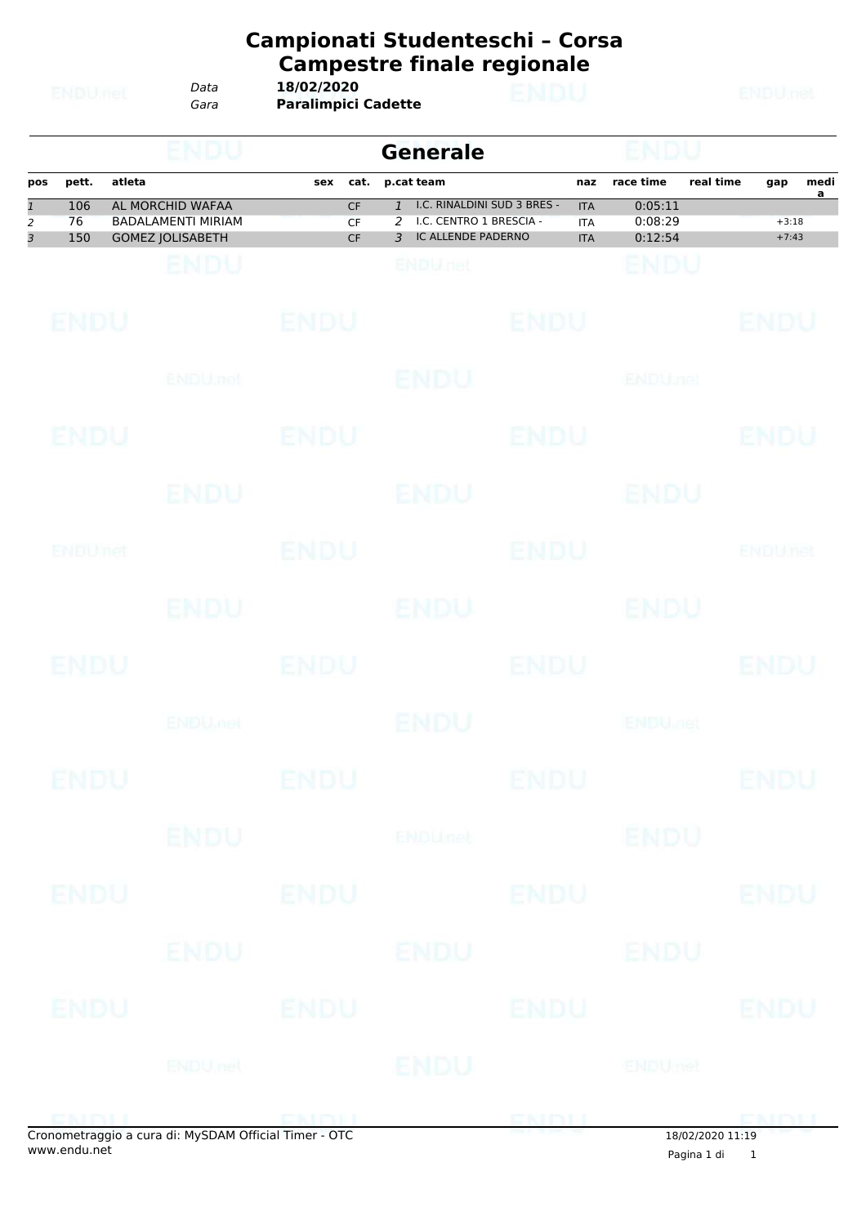*Data* **18/02/2020**

*Gara* **Paralimpici Cadette**

|     |       |                           |     |           | <b>Generale</b>             |            |           |           |         |           |
|-----|-------|---------------------------|-----|-----------|-----------------------------|------------|-----------|-----------|---------|-----------|
| pos | pett. | atleta                    | sex | cat.      | p.cat team                  | naz        | race time | real time | gap     | medi<br>a |
|     | 106   | AL MORCHID WAFAA          |     | <b>CF</b> | I.C. RINALDINI SUD 3 BRES - | <b>ITA</b> | 0:05:11   |           |         |           |
| 2   | 76    | <b>BADALAMENTI MIRIAM</b> |     | CF.       | I.C. CENTRO 1 BRESCIA -     | <b>ITA</b> | 0:08:29   |           | $+3:18$ |           |
| 3   | 150   | <b>GOMEZ JOLISABETH</b>   |     | <b>CF</b> | IC ALLENDE PADERNO<br>₹     | <b>ITA</b> | 0:12:54   |           | $+7:43$ |           |
|     |       |                           |     |           |                             |            |           |           |         |           |

| <b>ENDU</b> |                           | <b>ENDU</b> |                | <b>ENDU</b> |                           | <b>ENDU</b>    |
|-------------|---------------------------|-------------|----------------|-------------|---------------------------|----------------|
|             | ENDU.net                  |             | <b>ENDU</b>    |             | <b>ENDUnet</b>            |                |
| <b>ENDU</b> |                           | <b>ENDU</b> |                | <b>ENDU</b> |                           | <b>ENDU</b>    |
|             | ENDU                      |             | <b>ENDU</b>    |             | ENDU                      |                |
| ENDUMED     |                           | <b>ENDU</b> |                | <b>ENDU</b> |                           | <b>ENDUnet</b> |
|             | <b>ENDU</b>               |             | ENDU           |             | <b>ENDU</b>               |                |
| <b>ENDU</b> |                           | <b>ENDU</b> |                | <b>ENDU</b> |                           | <b>ENDU</b>    |
|             | <b>ENDU<sub>met</sub></b> |             | <b>ENDU</b>    |             | <b>ENDU<sub>DEL</sub></b> |                |
| <b>ENDU</b> |                           | <b>ENDU</b> |                | <b>ENDU</b> |                           | <b>ENDU</b>    |
|             | <b>ENDU</b>               |             | <b>ENDUnet</b> |             | <b>ENDU</b>               |                |
| <b>ENDU</b> |                           | <b>ENDU</b> |                | <b>ENDU</b> |                           | <b>ENDU</b>    |
|             | ENDU                      |             | <b>ENDU</b>    |             | ENDU                      |                |
| <b>ENDU</b> |                           | <b>ENDU</b> |                | <b>ENDU</b> |                           | <b>ENDU</b>    |
|             | <b>ENDUnet</b>            |             | ENDU           |             | <b>ENDUmet</b>            |                |
| ENINH       |                           | ENDILL      |                | ENDU        |                           | <b>EMALL</b>   |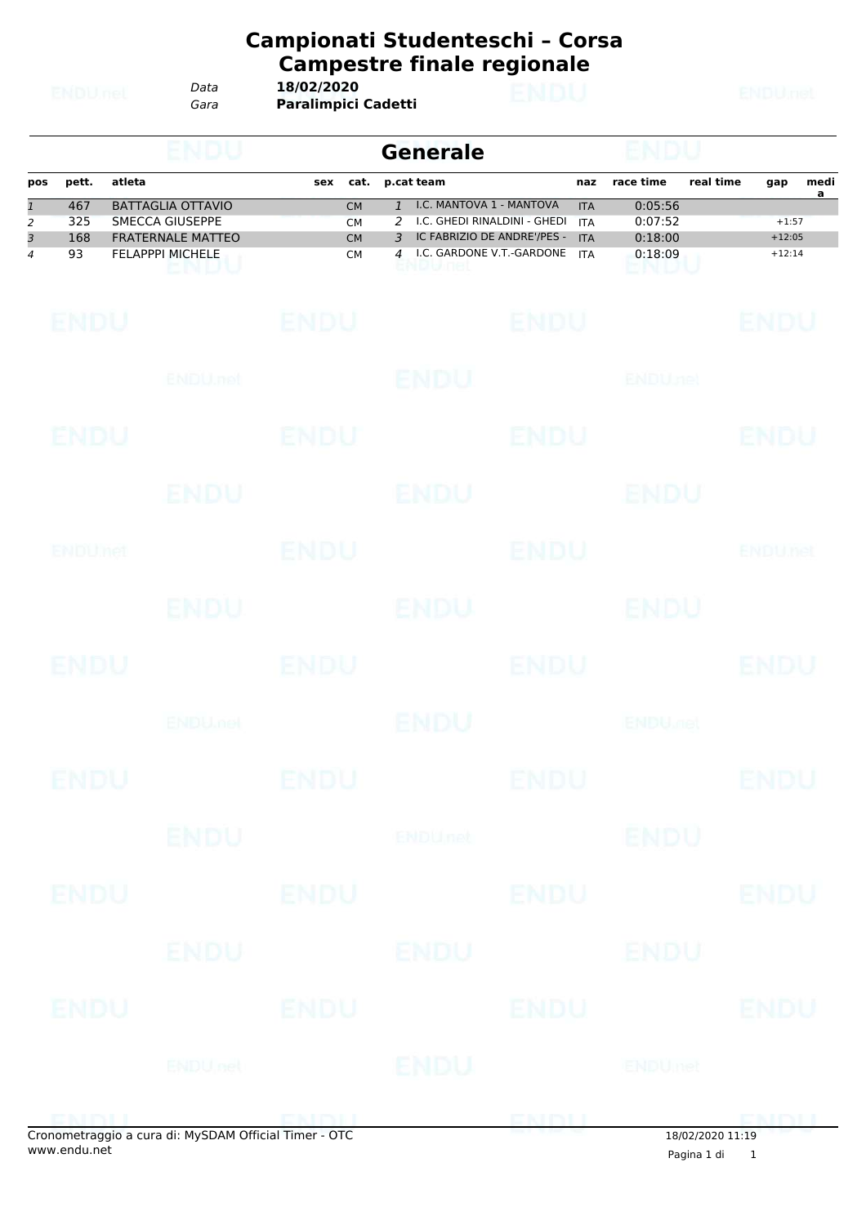*Data* **18/02/2020**

*Gara* **Paralimpici Cadetti**

|     |       |                          |     |           | Generale                           |            |           |           |          |           |
|-----|-------|--------------------------|-----|-----------|------------------------------------|------------|-----------|-----------|----------|-----------|
| pos | pett. | atleta                   | sex | cat.      | p.cat team                         | naz        | race time | real time | gap      | medi<br>а |
|     | 467   | BATTAGLIA OTTAVIO        |     | <b>CM</b> | 1 I.C. MANTOVA 1 - MANTOVA         | <b>ITA</b> | 0:05:56   |           |          |           |
| 2   | 325   | SMECCA GIUSEPPE          |     | <b>CM</b> | 2 I.C. GHEDI RINALDINI - GHEDI ITA |            | 0:07:52   |           | $+1:57$  |           |
|     | 168   | <b>FRATERNALE MATTEO</b> |     | <b>CM</b> | IC FABRIZIO DE ANDRE'/PES -        | <b>ITA</b> | 0:18:00   |           | $+12:05$ |           |
| 4   | 93    | <b>FELAPPPI MICHELE</b>  |     | <b>CM</b> | 4 I.C. GARDONE V.T.-GARDONE ITA    |            | 0:18:09   |           | $+12:14$ |           |

| <b>ENDU</b> |                                                                                                                                                                                                                               | <b>ENDU</b> |                | <b>ENDU</b> |                           | <b>ENDU</b> |
|-------------|-------------------------------------------------------------------------------------------------------------------------------------------------------------------------------------------------------------------------------|-------------|----------------|-------------|---------------------------|-------------|
|             | ENDU.net                                                                                                                                                                                                                      |             | <b>ENDU</b>    |             | <b>ENDUnet</b>            |             |
| ENDU        |                                                                                                                                                                                                                               | <b>ENDU</b> |                | <b>ENDU</b> |                           | <b>ENDU</b> |
|             | ENDU                                                                                                                                                                                                                          |             | <b>ENDU</b>    |             | ENDU                      |             |
| ENDUMet     |                                                                                                                                                                                                                               | <b>ENDU</b> |                | <b>ENDU</b> |                           | ENDUnet     |
|             | ENDU.                                                                                                                                                                                                                         |             | <b>ENDU</b>    |             | ENDU                      |             |
| <b>ENDU</b> |                                                                                                                                                                                                                               | <b>ENDU</b> |                | <b>ENDU</b> |                           | <b>ENDU</b> |
|             | <b>ENDUMBL</b>                                                                                                                                                                                                                |             | <b>ENDU</b>    |             | <b>ENDU<sub>JOE</sub></b> |             |
| <b>ENDU</b> |                                                                                                                                                                                                                               | <b>ENDU</b> |                | <b>ENDU</b> |                           | <b>ENDU</b> |
|             | ENDU                                                                                                                                                                                                                          |             | <b>ENDUnet</b> |             | <b>ENDU</b>               |             |
| <b>ENDU</b> |                                                                                                                                                                                                                               | <b>ENDU</b> |                | <b>ENDU</b> |                           | <b>ENDU</b> |
|             | <b>ENDU</b>                                                                                                                                                                                                                   |             | ENDU           |             | <b>ENDU</b>               |             |
| <b>ENDU</b> |                                                                                                                                                                                                                               | <b>ENDU</b> |                | <b>ENDU</b> |                           | <b>ENDU</b> |
|             | <b>ENDUnet</b>                                                                                                                                                                                                                |             | <b>ENDU</b>    |             | ENDUmet                   |             |
|             | promotography of use of the Museum of Changes of the Capacity of the Capacity of the Capacity of the Capacity of the Capacity of the Capacity of the Capacity of the Capacity of the Capacity of the Capacity of the Capacity |             |                | <b>ENDL</b> |                           | <b>ENDI</b> |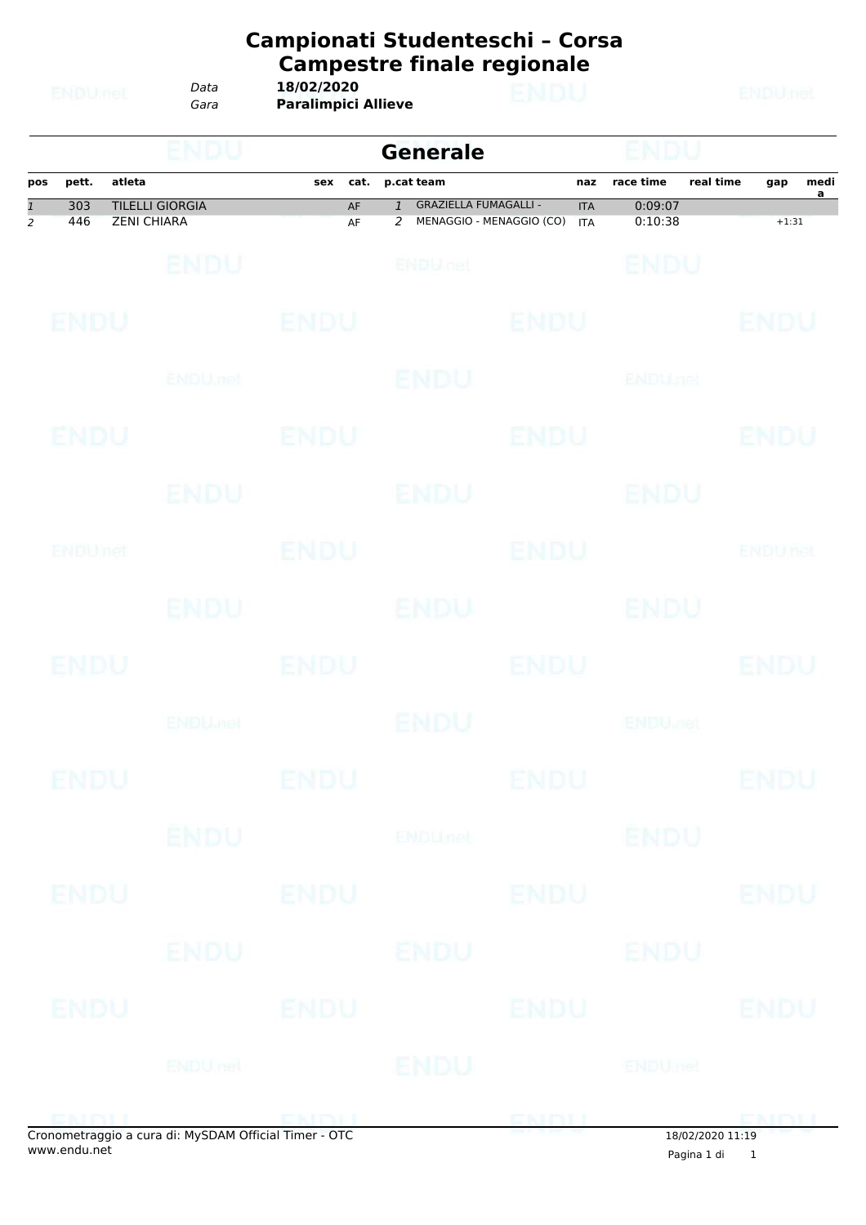| Data | 18/02/2020                 |
|------|----------------------------|
| Gara | <b>Paralimpici Allieve</b> |

|                                |             | NDU                                          |             | <b>Generale</b>                                                                   |             |                           |                               |
|--------------------------------|-------------|----------------------------------------------|-------------|-----------------------------------------------------------------------------------|-------------|---------------------------|-------------------------------|
| pos                            | pett.       | atleta                                       | cat.<br>sex | p.cat team                                                                        | naz         | race time                 | real time<br>medi<br>gap<br>a |
| $\mathbf{1}$<br>$\overline{2}$ | 303<br>446  | <b>TILELLI GIORGIA</b><br><b>ZENI CHIARA</b> | AF<br>AF    | <b>GRAZIELLA FUMAGALLI -</b><br>$\mathbf{1}$<br>MENAGGIO - MENAGGIO (CO) ITA<br>2 | <b>ITA</b>  | 0:09:07<br>0:10:38        | $+1:31$                       |
|                                |             | <b>ENDU</b>                                  |             | ENDULIEL                                                                          |             | ENDU                      |                               |
|                                | <b>ENDU</b> |                                              | <b>ENDU</b> |                                                                                   | ENDU        |                           | ENDU                          |
|                                |             | ENDU, nel                                    |             | ENDU                                                                              |             | <b>ENDUnet</b>            |                               |
|                                | ENDU        |                                              | ENDU        |                                                                                   | <b>ENDU</b> |                           | ENDU                          |
|                                |             | ENDU                                         |             | ENDU                                                                              |             | ENDU                      |                               |
|                                | ENDUMet     |                                              | ENDU        |                                                                                   | ENDU        |                           | ENDUnet                       |
|                                |             | <b>ENDU</b>                                  |             | <b>ENDU</b>                                                                       |             | <b>ENDU</b>               |                               |
|                                | <b>ENDU</b> |                                              | ENDU        |                                                                                   | <b>ENDU</b> |                           | ENDU                          |
|                                |             | <b>ENDU<sub>met</sub></b>                    |             | ENDU                                                                              |             | <b>ENDU<sub>DER</sub></b> |                               |
|                                | ENDU        |                                              | ENDU        |                                                                                   | ENDU        |                           | ENDU                          |
|                                |             | <b>ENDU</b>                                  |             | ENDUnet                                                                           |             | <b>ENDU</b>               |                               |
|                                | <b>ENDU</b> |                                              | <b>ENDU</b> |                                                                                   | <b>ENDU</b> |                           | <b>ENDU</b>                   |
|                                |             | ENDU                                         |             | <b>ENDU</b>                                                                       |             | ENDU                      |                               |
|                                | <b>ENDU</b> |                                              | <b>ENDU</b> |                                                                                   | <b>ENDU</b> |                           | <b>ENDU</b>                   |
|                                |             | ENDUnet                                      |             | <b>ENDU</b>                                                                       |             | <b>ENDUmet</b>            |                               |
|                                | ENIMIL      |                                              | ENDIJ       |                                                                                   | ENDU        |                           | <b>CMMI</b>                   |